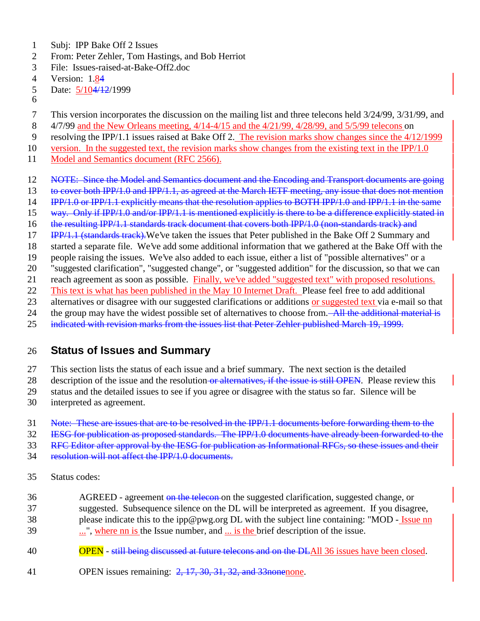- Subj: IPP Bake Off 2 Issues
- From: Peter Zehler, Tom Hastings, and Bob Herriot
- File: Issues-raised-at-Bake-Off2.doc
- Version: 1.84
- 5 Date:  $\frac{5}{104}/\frac{12}{1999}$
- 
- This version incorporates the discussion on the mailing list and three telecons held 3/24/99, 3/31/99, and
- 4/7/99 and the New Orleans meeting, 4/14-4/15 and the 4/21/99, 4/28/99, and 5/5/99 telecons on
- resolving the IPP/1.1 issues raised at Bake Off 2. The revision marks show changes since the 4/12/1999
- version. In the suggested text, the revision marks show changes from the existing text in the IPP/1.0
- 11 Model and Semantics document (RFC 2566).
- 12 NOTE: Since the Model and Semantics document and the Encoding and Transport documents are going
- 13 to cover both IPP/1.0 and IPP/1.1, as agreed at the March IETF meeting, any issue that does not mention
- IPP/1.0 or IPP/1.1 explicitly means that the resolution applies to BOTH IPP/1.0 and IPP/1.1 in the same
- way. Only if IPP/1.0 and/or IPP/1.1 is mentioned explicitly is there to be a difference explicitly stated in
- 16 the resulting IPP/1.1 standards track document that covers both IPP/1.0 (non-standards track) and
- 17 IPP/1.1 (standards track). We've taken the issues that Peter published in the Bake Off 2 Summary and
- started a separate file. We've add some additional information that we gathered at the Bake Off with the
- people raising the issues. We've also added to each issue, either a list of "possible alternatives" or a
- "suggested clarification", "suggested change", or "suggested addition" for the discussion, so that we can
- reach agreement as soon as possible. Finally, we've added "suggested text" with proposed resolutions.
- 22 This text is what has been published in the May 10 Internet Draft. Please feel free to add additional
- 23 alternatives or disagree with our suggested clarifications or additions or suggested text via e-mail so that
- 24 the group may have the widest possible set of alternatives to choose from.—All the additional material is
- indicated with revision marks from the issues list that Peter Zehler published March 19, 1999.

## **Status of Issues and Summary**

- This section lists the status of each issue and a brief summary. The next section is the detailed
- 28 description of the issue and the resolution or alternatives, if the issue is still OPEN. Please review this
- status and the detailed issues to see if you agree or disagree with the status so far. Silence will be
- interpreted as agreement.
- Note: These are issues that are to be resolved in the IPP/1.1 documents before forwarding them to the
- IESG for publication as proposed standards. The IPP/1.0 documents have already been forwarded to the
- RFC Editor after approval by the IESG for publication as Informational RFCs, so these issues and their
- resolution will not affect the IPP/1.0 documents.
- Status codes:
- 36 AGREED agreement on the telecon on the suggested clarification, suggested change, or suggested. Subsequence silence on the DL will be interpreted as agreement. If you disagree, 38 please indicate this to the ipp@pwg.org DL with the subject line containing: "MOD - Issue nn
- ...", where nn is the Issue number, and ... is the brief description of the issue.
- **OPEN** still being discussed at future telecons and on the DLAII 36 issues have been closed.
- OPEN issues remaining: 2, 17, 30, 31, 32, and 33nonenone.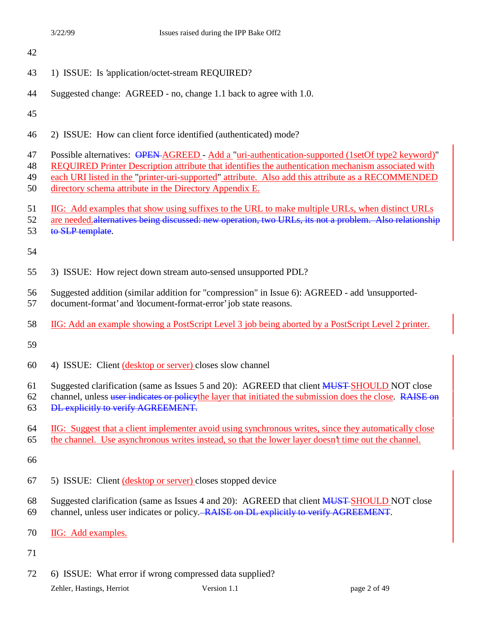- 1) ISSUE: Is 'application/octet-stream REQUIRED?
- Suggested change: AGREED no, change 1.1 back to agree with 1.0.

- 2) ISSUE: How can client force identified (authenticated) mode?
- 47 Possible alternatives: OPEN-AGREED Add a "uri-authentication-supported (1setOf type2 keyword)"
- REQUIRED Printer Description attribute that identifies the authentication mechanism associated with
- each URI listed in the "printer-uri-supported" attribute. Also add this attribute as a RECOMMENDED directory schema attribute in the Directory Appendix E.
- IIG: Add examples that show using suffixes to the URL to make multiple URLs, when distinct URLs
- 52 are needed.alternatives being discussed: new operation, two URLs, its not a problem. Also relationship
- 53 to SLP template.

- 3) ISSUE: How reject down stream auto-sensed unsupported PDL?
- Suggested addition (similar addition for "compression" in Issue 6): AGREED add 'unsupported-
- document-format' and 'document-format-error' job state reasons.
- IIG: Add an example showing a PostScript Level 3 job being aborted by a PostScript Level 2 printer.

- 4) ISSUE: Client (desktop or server) closes slow channel
- 61 Suggested clarification (same as Issues 5 and 20): AGREED that client **MUST SHOULD NOT** close
- 62 channel, unless user indicates or policy the layer that initiated the submission does the close. RAISE on DL explicitly to verify AGREEMENT.
- IIG: Suggest that a client implementer avoid using synchronous writes, since they automatically close
- the channel. Use asynchronous writes instead, so that the lower layer doesn't time out the channel.

- 5) ISSUE: Client (desktop or server) closes stopped device
- 68 Suggested clarification (same as Issues 4 and 20): AGREED that client **MUST SHOULD NOT** close
- channel, unless user indicates or policy. RAISE on DL explicitly to verify AGREEMENT.
- IIG: Add examples.
- 
- 6) ISSUE: What error if wrong compressed data supplied?

Zehler, Hastings, Herriot Version 1.1 page 2 of 49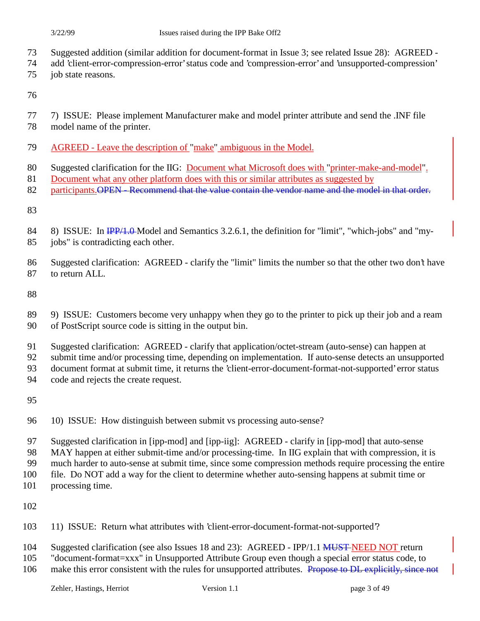- Suggested addition (similar addition for document-format in Issue 3; see related Issue 28): AGREED -
- add 'client-error-compression-error' status code and 'compression-error' and 'unsupported-compression'
- job state reasons.

- 7) ISSUE: Please implement Manufacturer make and model printer attribute and send the .INF file
- model name of the printer.
- AGREED Leave the description of "make" ambiguous in the Model.
- 80 Suggested clarification for the IIG: Document what Microsoft does with "printer-make-and-model".
- 81 Document what any other platform does with this or similar attributes as suggested by
- 82 participants. OPEN Recommend that the value contain the vendor name and the model in that order.

- 84 8) ISSUE: In  $\overline{IPPA}$ .  $\theta$ -Model and Semantics 3.2.6.1, the definition for "limit", "which-jobs" and "my-jobs" is contradicting each other.
- Suggested clarification: AGREED clarify the "limit" limits the number so that the other two don't have
- 

to return ALL.

- 9) ISSUE: Customers become very unhappy when they go to the printer to pick up their job and a ream of PostScript source code is sitting in the output bin.
- Suggested clarification: AGREED clarify that application/octet-stream (auto-sense) can happen at
- submit time and/or processing time, depending on implementation. If auto-sense detects an unsupported
- document format at submit time, it returns the 'client-error-document-format-not-supported' error status
- code and rejects the create request.

- 10) ISSUE: How distinguish between submit vs processing auto-sense?
- Suggested clarification in [ipp-mod] and [ipp-iig]: AGREED clarify in [ipp-mod] that auto-sense
- MAY happen at either submit-time and/or processing-time. In IIG explain that with compression, it is
- much harder to auto-sense at submit time, since some compression methods require processing the entire
- file. Do NOT add a way for the client to determine whether auto-sensing happens at submit time or
- processing time.

- 11) ISSUE: Return what attributes with 'client-error-document-format-not-supported'?
- 104 Suggested clarification (see also Issues 18 and 23): AGREED IPP/1.1 MUST-NEED NOT return
- "document-format=xxx" in Unsupported Attribute Group even though a special error status code, to
- 106 make this error consistent with the rules for unsupported attributes. Propose to DL explicitly, since not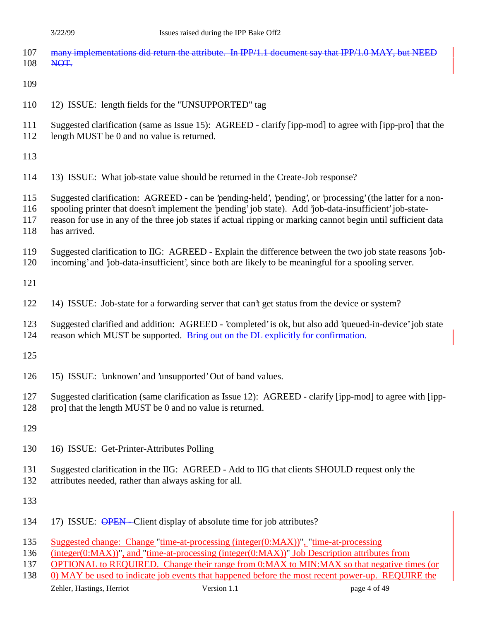| 107<br>108               | many implementations did return the attribute. In IPP/1.1 document say that IPP/1.0 MAY, but NEED<br>NOT.                                                                                                                                                                                                                                               |
|--------------------------|---------------------------------------------------------------------------------------------------------------------------------------------------------------------------------------------------------------------------------------------------------------------------------------------------------------------------------------------------------|
| 109                      |                                                                                                                                                                                                                                                                                                                                                         |
| 110                      | 12) ISSUE: length fields for the "UNSUPPORTED" tag                                                                                                                                                                                                                                                                                                      |
| 111<br>112               | Suggested clarification (same as Issue 15): AGREED - clarify [ipp-mod] to agree with [ipp-pro] that the<br>length MUST be 0 and no value is returned.                                                                                                                                                                                                   |
| 113                      |                                                                                                                                                                                                                                                                                                                                                         |
| 114                      | 13) ISSUE: What job-state value should be returned in the Create-Job response?                                                                                                                                                                                                                                                                          |
| 115<br>116<br>117<br>118 | Suggested clarification: AGREED - can be 'pending-held', 'pending', or 'processing' (the latter for a non-<br>spooling printer that doesn't implement the 'pending' job state). Add 'job-data-insufficient' job-state-<br>reason for use in any of the three job states if actual ripping or marking cannot begin until sufficient data<br>has arrived. |
| 119<br>120               | Suggested clarification to IIG: AGREED - Explain the difference between the two job state reasons job-<br>incoming' and 'job-data-insufficient', since both are likely to be meaningful for a spooling server.                                                                                                                                          |
| 121                      |                                                                                                                                                                                                                                                                                                                                                         |
| 122                      | 14) ISSUE: Job-state for a forwarding server that can't get status from the device or system?                                                                                                                                                                                                                                                           |
| 123<br>124               | Suggested clarified and addition: AGREED - 'completed' is ok, but also add 'queued-in-device' job state<br>reason which MUST be supported. Bring out on the DL explicitly for confirmation.                                                                                                                                                             |
| 125                      |                                                                                                                                                                                                                                                                                                                                                         |
| 126                      | 15) ISSUE: 'unknown' and 'unsupported' Out of band values.                                                                                                                                                                                                                                                                                              |
| 127<br>128               | Suggested clarification (same clarification as Issue 12): AGREED - clarify [ipp-mod] to agree with [ipp-<br>pro] that the length MUST be 0 and no value is returned.                                                                                                                                                                                    |
| 129                      |                                                                                                                                                                                                                                                                                                                                                         |
| 130                      | 16) ISSUE: Get-Printer-Attributes Polling                                                                                                                                                                                                                                                                                                               |
| 131<br>132               | Suggested clarification in the IIG: AGREED - Add to IIG that clients SHOULD request only the<br>attributes needed, rather than always asking for all.                                                                                                                                                                                                   |
| 133                      |                                                                                                                                                                                                                                                                                                                                                         |
| 134                      | 17) ISSUE: OPEN-Client display of absolute time for job attributes?                                                                                                                                                                                                                                                                                     |
| 135<br>136<br>137        | Suggested change: Change "time-at-processing (integer(0:MAX))", "time-at-processing<br>$(integer(0:MAX))$ ", and "time-at-processing (integer $(0:MAX)$ )" Job Description attributes from<br><b>OPTIONAL</b> to REQUIRED. Change their range from 0:MAX to MIN:MAX so that negative times (or                                                          |

138 0) MAY be used to indicate job events that happened before the most recent power-up. REQUIRE the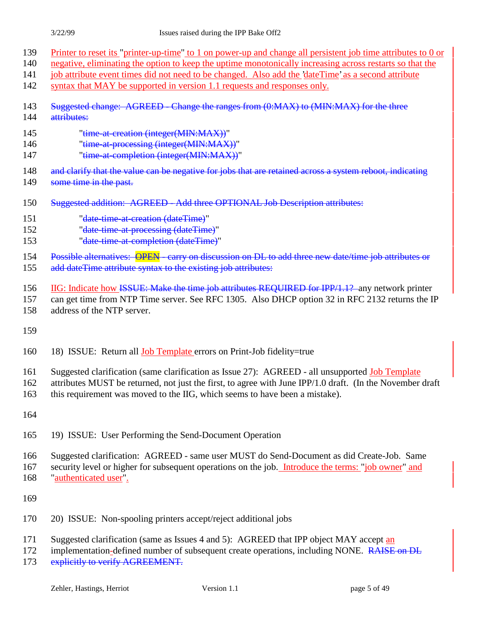- 139 Printer to reset its "printer-up-time" to 1 on power-up and change all persistent job time attributes to 0 or
- 140 negative, eliminating the option to keep the uptime monotonically increasing across restarts so that the
- 141 job attribute event times did not need to be changed. Also add the 'dateTime' as a second attribute
- 142 syntax that MAY be supported in version 1.1 requests and responses only.
- 143 Suggested change: AGREED Change the ranges from (0:MAX) to (MIN:MAX) for the three 144 attributes:
- 145 "time-at-creation (integer(MIN:MAX))"
- 146 "time-at-processing (integer(MIN:MAX))"
- 147 "time-at-completion (integer(MIN:MAX))"
- 148 and clarify that the value can be negative for jobs that are retained across a system reboot, indicating
- 149 some time in the past.
- 150 Suggested addition: AGREED Add three OPTIONAL Job Description attributes:
- 151 "date-time-at-creation (dateTime)"
- 152 "date-time-at-processing (dateTime)"
- 153 "date-time-at-completion (dateTime)"

154 Possible alternatives: OPEN - carry on discussion on DL to add three new date/time job attributes or

- 155 add dateTime attribute syntax to the existing job attributes:
- 156 IIG: Indicate how ISSUE: Make the time job attributes REQUIRED for IPP/1.1? any network printer
- 157 can get time from NTP Time server. See RFC 1305. Also DHCP option 32 in RFC 2132 returns the IP
- 158 address of the NTP server.
- 159
- 160 18) ISSUE: Return all Job Template errors on Print-Job fidelity=true
- 161 Suggested clarification (same clarification as Issue 27): AGREED all unsupported Job Template
- 162 attributes MUST be returned, not just the first, to agree with June IPP/1.0 draft. (In the November draft
- 163 this requirement was moved to the IIG, which seems to have been a mistake).
- 164
- 165 19) ISSUE: User Performing the Send-Document Operation
- 166 Suggested clarification: AGREED same user MUST do Send-Document as did Create-Job. Same
- 167 security level or higher for subsequent operations on the job. Introduce the terms: "job owner" and 168 "authenticated user".
- 169
- 170 20) ISSUE: Non-spooling printers accept/reject additional jobs
- 171 Suggested clarification (same as Issues 4 and 5): AGREED that IPP object MAY accept an
- 172 implementation-defined number of subsequent create operations, including NONE. RAISE on DL
- 173 explicitly to verify AGREEMENT.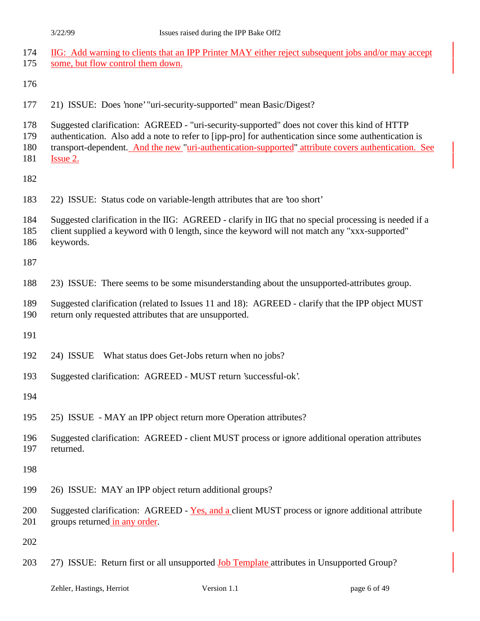| 174<br>175               | IIG: Add warning to clients that an IPP Printer MAY either reject subsequent jobs and/or may accept<br>some, but flow control them down.                                                                                                                                                                                 |
|--------------------------|--------------------------------------------------------------------------------------------------------------------------------------------------------------------------------------------------------------------------------------------------------------------------------------------------------------------------|
| 176                      |                                                                                                                                                                                                                                                                                                                          |
| 177                      | 21) ISSUE: Does 'none' "uri-security-supported" mean Basic/Digest?                                                                                                                                                                                                                                                       |
| 178<br>179<br>180<br>181 | Suggested clarification: AGREED - "uri-security-supported" does not cover this kind of HTTP<br>authentication. Also add a note to refer to [ipp-pro] for authentication since some authentication is<br>transport-dependent. And the new "uri-authentication-supported" attribute covers authentication. See<br>Issue 2. |
| 182                      |                                                                                                                                                                                                                                                                                                                          |
| 183                      | 22) ISSUE: Status code on variable-length attributes that are 'too short'                                                                                                                                                                                                                                                |
| 184<br>185<br>186        | Suggested clarification in the IIG: AGREED - clarify in IIG that no special processing is needed if a<br>client supplied a keyword with 0 length, since the keyword will not match any "xxx-supported"<br>keywords.                                                                                                      |
| 187                      |                                                                                                                                                                                                                                                                                                                          |
| 188                      | 23) ISSUE: There seems to be some misunderstanding about the unsupported-attributes group.                                                                                                                                                                                                                               |
| 189<br>190               | Suggested clarification (related to Issues 11 and 18): AGREED - clarify that the IPP object MUST<br>return only requested attributes that are unsupported.                                                                                                                                                               |
| 191                      |                                                                                                                                                                                                                                                                                                                          |
| 192                      | What status does Get-Jobs return when no jobs?<br>24) ISSUE                                                                                                                                                                                                                                                              |
| 193                      | Suggested clarification: AGREED - MUST return 'successful-ok'.                                                                                                                                                                                                                                                           |
| 194                      |                                                                                                                                                                                                                                                                                                                          |
| 195                      | 25) ISSUE - MAY an IPP object return more Operation attributes?                                                                                                                                                                                                                                                          |
| 196<br>197               | Suggested clarification: AGREED - client MUST process or ignore additional operation attributes<br>returned.                                                                                                                                                                                                             |
| 198                      |                                                                                                                                                                                                                                                                                                                          |
| 199                      | 26) ISSUE: MAY an IPP object return additional groups?                                                                                                                                                                                                                                                                   |
| 200<br>201               | Suggested clarification: AGREED - Yes, and a client MUST process or ignore additional attribute<br>groups returned in any order.                                                                                                                                                                                         |
| 202                      |                                                                                                                                                                                                                                                                                                                          |
| 203                      | 27) ISSUE: Return first or all unsupported <b>Job Template</b> attributes in Unsupported Group?                                                                                                                                                                                                                          |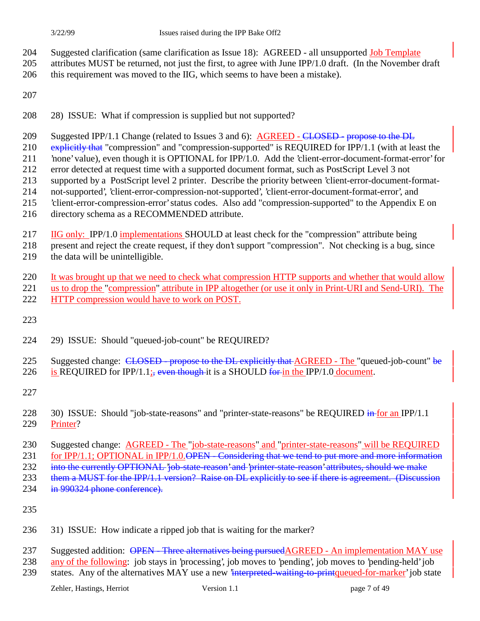- 204 Suggested clarification (same clarification as Issue 18): AGREED all unsupported Job Template
- 205 attributes MUST be returned, not just the first, to agree with June IPP/1.0 draft. (In the November draft
- 206 this requirement was moved to the IIG, which seems to have been a mistake).
- 207
- 208 28) ISSUE: What if compression is supplied but not supported?
- 209 Suggested IPP/1.1 Change (related to Issues 3 and 6): AGREED CLOSED propose to the DL
- 210 explicitly that "compression" and "compression-supported" is REQUIRED for IPP/1.1 (with at least the
- 211 'none' value), even though it is OPTIONAL for IPP/1.0. Add the 'client-error-document-format-error' for 212 error detected at request time with a supported document format, such as PostScript Level 3 not
- 213 supported by a PostScript level 2 printer. Describe the priority between 'client-error-document-format-
- 214 not-supported', 'client-error-compression-not-supported', 'client-error-document-format-error', and
- 215 'client-error-compression-error' status codes. Also add "compression-supported" to the Appendix E on
- 216 directory schema as a RECOMMENDED attribute.
- 217 IIG only: IPP/1.0 implementations SHOULD at least check for the "compression" attribute being

218 present and reject the create request, if they don't support "compression". Not checking is a bug, since

- 219 the data will be unintelligible.
- 220 It was brought up that we need to check what compression HTTP supports and whether that would allow 221 us to drop the "compression" attribute in IPP altogether (or use it only in Print-URI and Send-URI). The
- 222 HTTP compression would have to work on POST.
- 223
- 224 29) ISSUE: Should "queued-job-count" be REQUIRED?
- 225 Suggested change: CLOSED propose to the DL explicitly that AGREED The "queued-job-count" be 226 is REQUIRED for IPP/1.1; even though it is a SHOULD for in the IPP/1.0 document.
- 227
- 228 30) ISSUE: Should "job-state-reasons" and "printer-state-reasons" be REQUIRED in for an IPP/1.1 229 Printer?
- 230 Suggested change: AGREED The "job-state-reasons" and "printer-state-reasons" will be REQUIRED
- 231 for IPP/1.1; OPTIONAL in IPP/1.0.OPEN Considering that we tend to put more and more information
- 232 into the currently OPTIONAL 'job-state-reason' and 'printer-state-reason' attributes, should we make
- 233 them a MUST for the IPP/1.1 version? Raise on DL explicitly to see if there is agreement. (Discussion
- 234 in 990324 phone conference).
- 235
- 236 31) ISSUE: How indicate a ripped job that is waiting for the marker?
- 237 Suggested addition: OPEN Three alternatives being pursuedAGREED An implementation MAY use
- 238 any of the following: job stays in 'processing', job moves to 'pending', job moves to 'pending-held' job
- 239 states. Any of the alternatives MAY use a new <del>'interpreted waiting to print</del>queued-for-marker' job state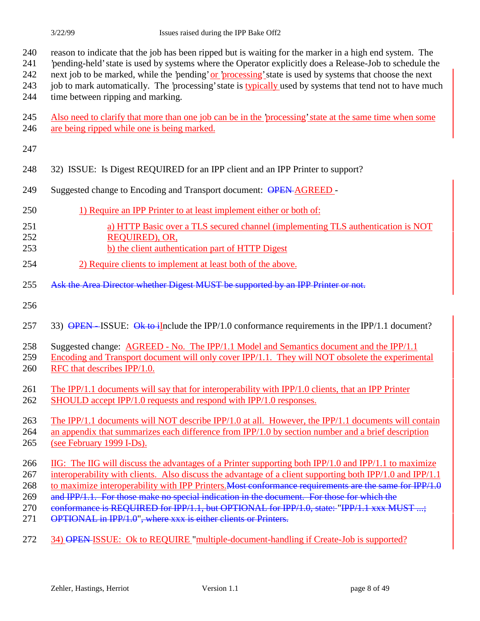- 'pending-held' state is used by systems where the Operator explicitly does a Release-Job to schedule the
- 242 next job to be marked, while the 'pending' or 'processing' state is used by systems that choose the next
- 243 job to mark automatically. The 'processing' state is typically used by systems that tend not to have much time between ripping and marking.
- Also need to clarify that more than one job can be in the 'processing' state at the same time when some are being ripped while one is being marked.

#### 

- 32) ISSUE: Is Digest REQUIRED for an IPP client and an IPP Printer to support?
- 249 Suggested change to Encoding and Transport document: OPEN-AGREED -
- 1) Require an IPP Printer to at least implement either or both of:
- a) HTTP Basic over a TLS secured channel (implementing TLS authentication is NOT REQUIRED), OR,
- b) the client authentication part of HTTP Digest
- 2) Require clients to implement at least both of the above.
- 255 Ask the Area Director whether Digest MUST be supported by an IPP Printer or not.
- 
- 257 33) OPEN-ISSUE: Ok to illnclude the IPP/1.0 conformance requirements in the IPP/1.1 document?
- Suggested change: AGREED No. The IPP/1.1 Model and Semantics document and the IPP/1.1
- Encoding and Transport document will only cover IPP/1.1. They will NOT obsolete the experimental RFC that describes IPP/1.0.
- The IPP/1.1 documents will say that for interoperability with IPP/1.0 clients, that an IPP Printer SHOULD accept IPP/1.0 requests and respond with IPP/1.0 responses.
- 
- The IPP/1.1 documents will NOT describe IPP/1.0 at all. However, the IPP/1.1 documents will contain an appendix that summarizes each difference from IPP/1.0 by section number and a brief description (see February 1999 I-Ds).
- IIG: The IIG will discuss the advantages of a Printer supporting both IPP/1.0 and IPP/1.1 to maximize
- 267 interoperability with clients. Also discuss the advantage of a client supporting both IPP/1.0 and IPP/1.1
- 268 to maximize interoperability with IPP Printers. Most conformance requirements are the same for IPP/1.0
- 269 and IPP/1.1. For those make no special indication in the document. For those for which the
- 270 conformance is REQUIRED for IPP/1.1, but OPTIONAL for IPP/1.0, state: "IPP/1.1 xxx MUST ...;
- 271 OPTIONAL in IPP/1.0", where xxx is either clients or Printers.
- 34) OPEN ISSUE: Ok to REQUIRE "multiple-document-handling if Create-Job is supported?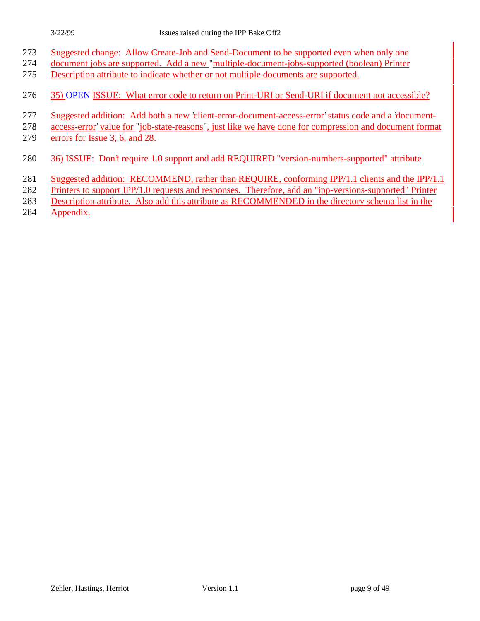- Suggested change: Allow Create-Job and Send-Document to be supported even when only one
- document jobs are supported. Add a new "multiple-document-jobs-supported (boolean) Printer
- Description attribute to indicate whether or not multiple documents are supported.
- 276 35) OPEN ISSUE: What error code to return on Print-URI or Send-URI if document not accessible?
- Suggested addition: Add both a new 'client-error-document-access-error' status code and a 'document-
- access-error' value for "job-state-reasons", just like we have done for compression and document format
- errors for Issue 3, 6, and 28.
- 36) ISSUE: Don't require 1.0 support and add REQUIRED "version-numbers-supported" attribute
- Suggested addition: RECOMMEND, rather than REQUIRE, conforming IPP/1.1 clients and the IPP/1.1
- Printers to support IPP/1.0 requests and responses. Therefore, add an "ipp-versions-supported" Printer
- Description attribute. Also add this attribute as RECOMMENDED in the directory schema list in the
- Appendix.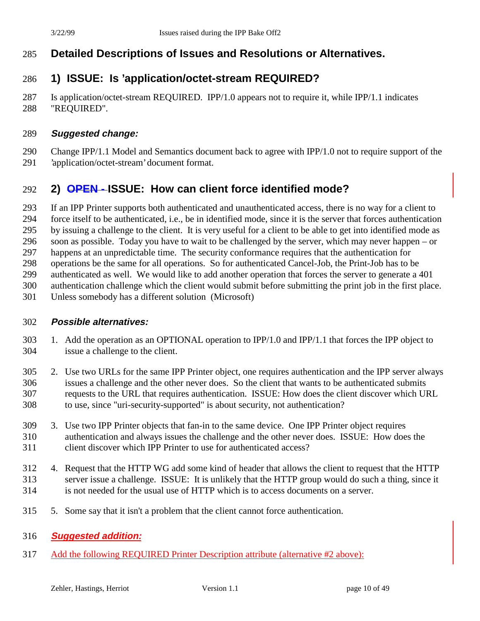## **Detailed Descriptions of Issues and Resolutions or Alternatives.**

## **1) ISSUE: Is 'application/octet-stream REQUIRED?**

 Is application/octet-stream REQUIRED. IPP/1.0 appears not to require it, while IPP/1.1 indicates "REQUIRED".

#### **Suggested change:**

Change IPP/1.1 Model and Semantics document back to agree with IPP/1.0 not to require support of the

'application/octet-stream' document format.

## **2) OPEN - ISSUE: How can client force identified mode?**

If an IPP Printer supports both authenticated and unauthenticated access, there is no way for a client to

force itself to be authenticated, i.e., be in identified mode, since it is the server that forces authentication

by issuing a challenge to the client. It is very useful for a client to be able to get into identified mode as

soon as possible. Today you have to wait to be challenged by the server, which may never happen – or

happens at an unpredictable time. The security conformance requires that the authentication for

operations be the same for all operations. So for authenticated Cancel-Job, the Print-Job has to be

authenticated as well. We would like to add another operation that forces the server to generate a 401

authentication challenge which the client would submit before submitting the print job in the first place.

Unless somebody has a different solution (Microsoft)

#### **Possible alternatives:**

- 1. Add the operation as an OPTIONAL operation to IPP/1.0 and IPP/1.1 that forces the IPP object to issue a challenge to the client.
- 2. Use two URLs for the same IPP Printer object, one requires authentication and the IPP server always issues a challenge and the other never does. So the client that wants to be authenticated submits requests to the URL that requires authentication. ISSUE: How does the client discover which URL to use, since "uri-security-supported" is about security, not authentication?
- 3. Use two IPP Printer objects that fan-in to the same device. One IPP Printer object requires authentication and always issues the challenge and the other never does. ISSUE: How does the client discover which IPP Printer to use for authenticated access?
- 4. Request that the HTTP WG add some kind of header that allows the client to request that the HTTP server issue a challenge. ISSUE: It is unlikely that the HTTP group would do such a thing, since it is not needed for the usual use of HTTP which is to access documents on a server.
- 5. Some say that it isn't a problem that the client cannot force authentication.
- **Suggested addition:**
- Add the following REQUIRED Printer Description attribute (alternative #2 above):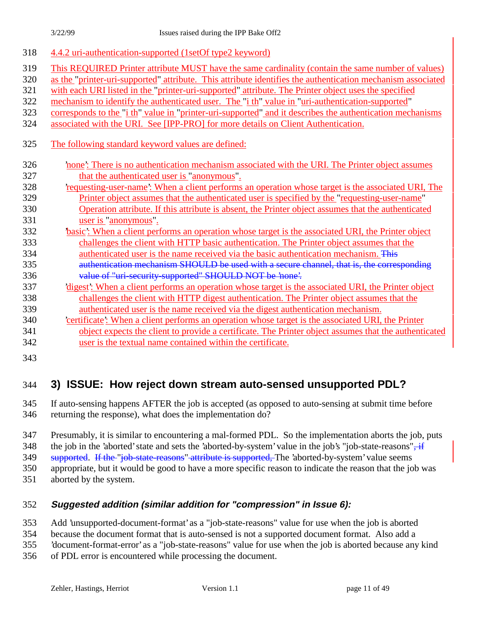| 318 | 4.4.2 uri-authentication-supported (1setOf type2 keyword)                                                   |
|-----|-------------------------------------------------------------------------------------------------------------|
| 319 | This REQUIRED Printer attribute MUST have the same cardinality (contain the same number of values)          |
| 320 | as the "printer-uri-supported" attribute. This attribute identifies the authentication mechanism associated |
| 321 | with each URI listed in the "printer-uri-supported" attribute. The Printer object uses the specified        |
| 322 | mechanism to identify the authenticated user. The "i th" value in "uri-authentication-supported"            |
| 323 | corresponds to the "i th" value in "printer-uri-supported" and it describes the authentication mechanisms   |
| 324 | associated with the URI. See [IPP-PRO] for more details on Client Authentication.                           |
| 325 | The following standard keyword values are defined:                                                          |
| 326 | none': There is no authentication mechanism associated with the URI. The Printer object assumes             |
| 327 | that the authenticated user is "anonymous".                                                                 |
| 328 | requesting-user-name? When a client performs an operation whose target is the associated URI, The           |
| 329 | Printer object assumes that the authenticated user is specified by the "requesting-user-name"               |
| 330 | Operation attribute. If this attribute is absent, the Printer object assumes that the authenticated         |
| 331 | user is "anonymous".                                                                                        |
| 332 | basic': When a client performs an operation whose target is the associated URI, the Printer object          |
| 333 | challenges the client with HTTP basic authentication. The Printer object assumes that the                   |
| 334 | authenticated user is the name received via the basic authentication mechanism. This                        |
| 335 | authentication mechanism SHOULD be used with a secure channel, that is, the corresponding                   |
| 336 | value of "uri-security-supported" SHOULD NOT be 'none'.                                                     |
| 337 | digest': When a client performs an operation whose target is the associated URI, the Printer object         |
| 338 | challenges the client with HTTP digest authentication. The Printer object assumes that the                  |
| 339 | authenticated user is the name received via the digest authentication mechanism.                            |
| 340 | certificate': When a client performs an operation whose target is the associated URI, the Printer           |
| 341 | object expects the client to provide a certificate. The Printer object assumes that the authenticated       |
| 342 | user is the textual name contained within the certificate.                                                  |
| 343 |                                                                                                             |

## 344 **3) ISSUE: How reject down stream auto-sensed unsupported PDL?**

345 If auto-sensing happens AFTER the job is accepted (as opposed to auto-sensing at submit time before 346 returning the response), what does the implementation do?

347 Presumably, it is similar to encountering a mal-formed PDL. So the implementation aborts the job, puts

348 the job in the 'aborted' state and sets the 'aborted-by-system' value in the job's "job-state-reasons", if

349 supported. If the "job-state-reasons" attribute is supported, The 'aborted-by-system' value seems

350 appropriate, but it would be good to have a more specific reason to indicate the reason that the job was

351 aborted by the system.

#### 352 **Suggested addition (similar addition for "compression" in Issue 6):**

353 Add 'unsupported-document-format' as a "job-state-reasons" value for use when the job is aborted

354 because the document format that is auto-sensed is not a supported document format. Also add a

355 'document-format-error' as a "job-state-reasons" value for use when the job is aborted because any kind

356 of PDL error is encountered while processing the document.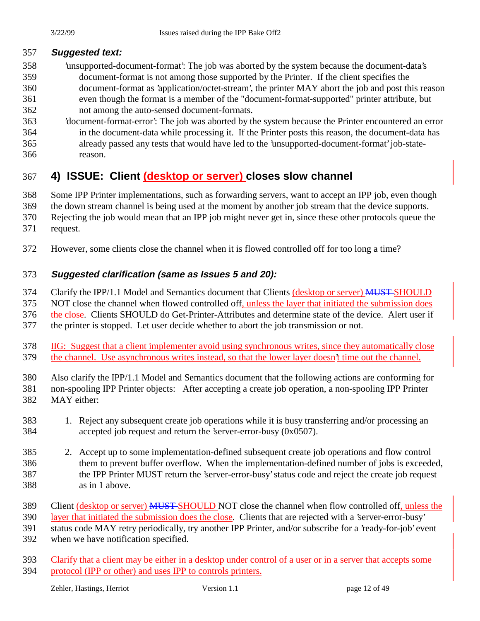## **Suggested text:**

- 'unsupported-document-format': The job was aborted by the system because the document-data's document-format is not among those supported by the Printer. If the client specifies the document-format as 'application/octet-stream', the printer MAY abort the job and post this reason even though the format is a member of the "document-format-supported" printer attribute, but not among the auto-sensed document-formats.
- 'document-format-error': The job was aborted by the system because the Printer encountered an error in the document-data while processing it. If the Printer posts this reason, the document-data has already passed any tests that would have led to the 'unsupported-document-format' job-state-reason.

## **4) ISSUE: Client (desktop or server) closes slow channel**

Some IPP Printer implementations, such as forwarding servers, want to accept an IPP job, even though

the down stream channel is being used at the moment by another job stream that the device supports.

Rejecting the job would mean that an IPP job might never get in, since these other protocols queue the

- request.
- However, some clients close the channel when it is flowed controlled off for too long a time?

## **Suggested clarification (same as Issues 5 and 20):**

374 Clarify the IPP/1.1 Model and Semantics document that Clients (desktop or server) MUST-SHOULD

NOT close the channel when flowed controlled off, unless the layer that initiated the submission does

the close. Clients SHOULD do Get-Printer-Attributes and determine state of the device. Alert user if

the printer is stopped. Let user decide whether to abort the job transmission or not.

 IIG: Suggest that a client implementer avoid using synchronous writes, since they automatically close the channel. Use asynchronous writes instead, so that the lower layer doesn't time out the channel.

 Also clarify the IPP/1.1 Model and Semantics document that the following actions are conforming for non-spooling IPP Printer objects: After accepting a create job operation, a non-spooling IPP Printer

- MAY either:
- 1. Reject any subsequent create job operations while it is busy transferring and/or processing an accepted job request and return the 'server-error-busy (0x0507).
- 2. Accept up to some implementation-defined subsequent create job operations and flow control them to prevent buffer overflow. When the implementation-defined number of jobs is exceeded, the IPP Printer MUST return the 'server-error-busy' status code and reject the create job request as in 1 above.
- 389 Client (desktop or server) MUST-SHOULD NOT close the channel when flow controlled off, unless the
- layer that initiated the submission does the close. Clients that are rejected with a 'server-error-busy'

status code MAY retry periodically, try another IPP Printer, and/or subscribe for a 'ready-for-job' event

- when we have notification specified.
- Clarify that a client may be either in a desktop under control of a user or in a server that accepts some protocol (IPP or other) and uses IPP to controls printers.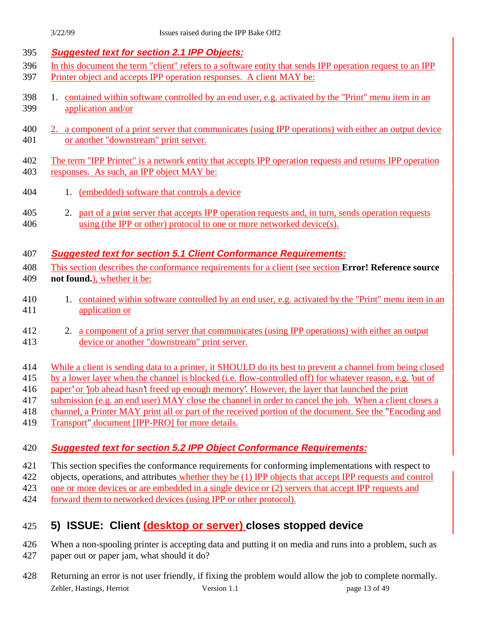| 395        | <b>Suggested text for section 2.1 IPP Objects:</b>                                                                          |  |  |  |
|------------|-----------------------------------------------------------------------------------------------------------------------------|--|--|--|
| 396        | In this document the term "client" refers to a software entity that sends IPP operation request to an IPP                   |  |  |  |
| 397        | Printer object and accepts IPP operation responses. A client MAY be:                                                        |  |  |  |
| 398<br>399 | 1. contained within software controlled by an end user, e.g. activated by the "Print" menu item in an<br>application and/or |  |  |  |
| 400        | 2. a component of a print server that communicates (using IPP operations) with either an output device                      |  |  |  |
| 401        | or another "downstream" print server.                                                                                       |  |  |  |
|            |                                                                                                                             |  |  |  |
| 402        | The term "IPP Printer" is a network entity that accepts IPP operation requests and returns IPP operation                    |  |  |  |
| 403        | responses. As such, an IPP object MAY be:                                                                                   |  |  |  |
|            |                                                                                                                             |  |  |  |
| 404        | (embedded) software that controls a device<br>1.                                                                            |  |  |  |
|            |                                                                                                                             |  |  |  |
| 405        | part of a print server that accepts IPP operation requests and, in turn, sends operation requests<br>2.                     |  |  |  |
| 406        | using (the IPP or other) protocol to one or more networked device(s).                                                       |  |  |  |
|            |                                                                                                                             |  |  |  |
| 407        | <b>Suggested text for section 5.1 Client Conformance Requirements:</b>                                                      |  |  |  |
| 408        | This section describes the conformance requirements for a client (see section <b>Error! Reference source</b>                |  |  |  |
| 409        | not found.), whether it be:                                                                                                 |  |  |  |
|            |                                                                                                                             |  |  |  |
| 410        | contained within software controlled by an end user, e.g. activated by the "Print" menu item in an<br>1.                    |  |  |  |
| 411        | application or                                                                                                              |  |  |  |
|            |                                                                                                                             |  |  |  |
| 412        | a component of a print server that communicates (using IPP operations) with either an output<br>2.                          |  |  |  |
| 413        | device or another "downstream" print server.                                                                                |  |  |  |
|            |                                                                                                                             |  |  |  |
| 414        | While a client is sending data to a printer, it SHOULD do its best to prevent a channel from being closed                   |  |  |  |
| 415        | by a lower layer when the channel is blocked (i.e. flow-controlled off) for whatever reason, e.g. 'out of                   |  |  |  |
| 416        | paper' or 'job ahead hasn't freed up enough memory'. However, the layer that launched the print                             |  |  |  |
| 417        | submission (e.g. an end user) MAY close the channel in order to cancel the job. When a client closes a                      |  |  |  |
| 418        | channel, a Printer MAY print all or part of the received portion of the document. See the "Encoding and                     |  |  |  |
| 419        | Transport" document [IPP-PRO] for more details.                                                                             |  |  |  |
|            |                                                                                                                             |  |  |  |
| 420        | <b>Suggested text for section 5.2 IPP Object Conformance Requirements:</b>                                                  |  |  |  |
|            |                                                                                                                             |  |  |  |
| 421        | This section specifies the conformance requirements for conforming implementations with respect to                          |  |  |  |
| 422        | objects, operations, and attributes whether they be (1) IPP objects that accept IPP requests and control                    |  |  |  |
| 423        | one or more devices or are embedded in a single device or (2) servers that accept IPP requests and                          |  |  |  |
| 424        | forward them to networked devices (using IPP or other protocol).                                                            |  |  |  |
|            |                                                                                                                             |  |  |  |

## 425 **5) ISSUE: Client (desktop or server) closes stopped device**

- 426 When a non-spooling printer is accepting data and putting it on media and runs into a problem, such as 427 paper out or paper jam, what should it do?
- Zehler, Hastings, Herriot Version 1.1 page 13 of 49 428 Returning an error is not user friendly, if fixing the problem would allow the job to complete normally.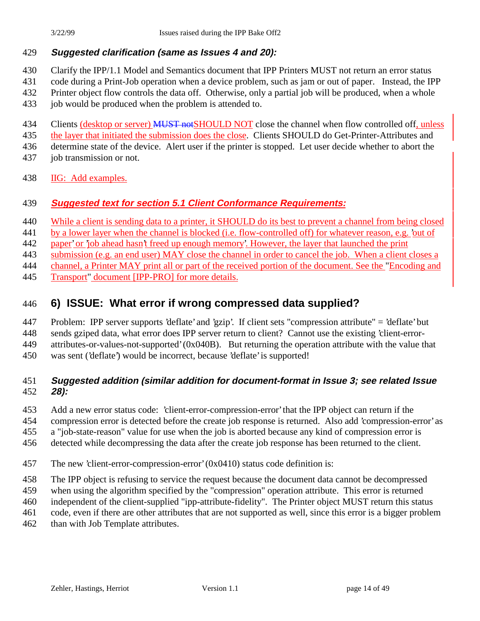#### **Suggested clarification (same as Issues 4 and 20):**

- Clarify the IPP/1.1 Model and Semantics document that IPP Printers MUST not return an error status
- code during a Print-Job operation when a device problem, such as jam or out of paper. Instead, the IPP
- Printer object flow controls the data off. Otherwise, only a partial job will be produced, when a whole
- job would be produced when the problem is attended to.

434 Clients (desktop or server) MUST not SHOULD NOT close the channel when flow controlled off, unless

the layer that initiated the submission does the close. Clients SHOULD do Get-Printer-Attributes and

determine state of the device. Alert user if the printer is stopped. Let user decide whether to abort the

- 437 job transmission or not.
- IIG: Add examples.

## **Suggested text for section 5.1 Client Conformance Requirements:**

- 440 While a client is sending data to a printer, it SHOULD do its best to prevent a channel from being closed
- 441 by a lower layer when the channel is blocked (i.e. flow-controlled off) for whatever reason, e.g. 'out of

paper' or 'job ahead hasn't freed up enough memory'. However, the layer that launched the print

submission (e.g. an end user) MAY close the channel in order to cancel the job. When a client closes a

channel, a Printer MAY print all or part of the received portion of the document. See the "Encoding and

Transport" document [IPP-PRO] for more details.

## **6) ISSUE: What error if wrong compressed data supplied?**

Problem: IPP server supports 'deflate' and 'gzip'. If client sets "compression attribute" = 'deflate' but

sends gziped data, what error does IPP server return to client? Cannot use the existing 'client-error-

attributes-or-values-not-supported' (0x040B). But returning the operation attribute with the value that

was sent ('deflate') would be incorrect, because 'deflate' is supported!

## **Suggested addition (similar addition for document-format in Issue 3; see related Issue 28):**

Add a new error status code: 'client-error-compression-error' that the IPP object can return if the

compression error is detected before the create job response is returned. Also add 'compression-error' as

a "job-state-reason" value for use when the job is aborted because any kind of compression error is

- detected while decompressing the data after the create job response has been returned to the client.
- The new 'client-error-compression-error' (0x0410) status code definition is:
- The IPP object is refusing to service the request because the document data cannot be decompressed
- when using the algorithm specified by the "compression" operation attribute. This error is returned
- independent of the client-supplied "ipp-attribute-fidelity". The Printer object MUST return this status
- code, even if there are other attributes that are not supported as well, since this error is a bigger problem
- 462 than with Job Template attributes.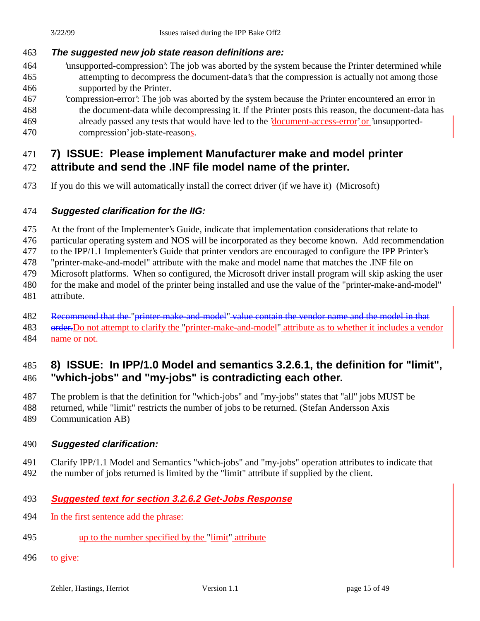## **The suggested new job state reason definitions are:**

- 'unsupported-compression': The job was aborted by the system because the Printer determined while attempting to decompress the document-data's that the compression is actually not among those supported by the Printer.
- 'compression-error': The job was aborted by the system because the Printer encountered an error in the document-data while decompressing it. If the Printer posts this reason, the document-data has already passed any tests that would have led to the 'document-access-error' or 'unsupported-compression' job-state-reasons.

# **7) ISSUE: Please implement Manufacturer make and model printer**

## **attribute and send the .INF file model name of the printer.**

If you do this we will automatically install the correct driver (if we have it) (Microsoft)

## **Suggested clarification for the IIG:**

At the front of the Implementer's Guide, indicate that implementation considerations that relate to

particular operating system and NOS will be incorporated as they become known. Add recommendation

to the IPP/1.1 Implementer's Guide that printer vendors are encouraged to configure the IPP Printer's

"printer-make-and-model" attribute with the make and model name that matches the .INF file on

Microsoft platforms. When so configured, the Microsoft driver install program will skip asking the user

- 480 for the make and model of the printer being installed and use the value of the "printer-make-and-model"
- attribute.
- 482 Recommend that the "printer-make-and-model" value contain the vendor name and the model in that
- 483 order. Do not attempt to clarify the "printer-make-and-model" attribute as to whether it includes a vendor name or not.

## **8) ISSUE: In IPP/1.0 Model and semantics 3.2.6.1, the definition for "limit", "which-jobs" and "my-jobs" is contradicting each other.**

The problem is that the definition for "which-jobs" and "my-jobs" states that "all" jobs MUST be

- returned, while "limit" restricts the number of jobs to be returned. (Stefan Andersson Axis
- Communication AB)

## **Suggested clarification:**

Clarify IPP/1.1 Model and Semantics "which-jobs" and "my-jobs" operation attributes to indicate that

the number of jobs returned is limited by the "limit" attribute if supplied by the client.

## **Suggested text for section 3.2.6.2 Get-Jobs Response**

- In the first sentence add the phrase:
- up to the number specified by the "limit" attribute
- to give: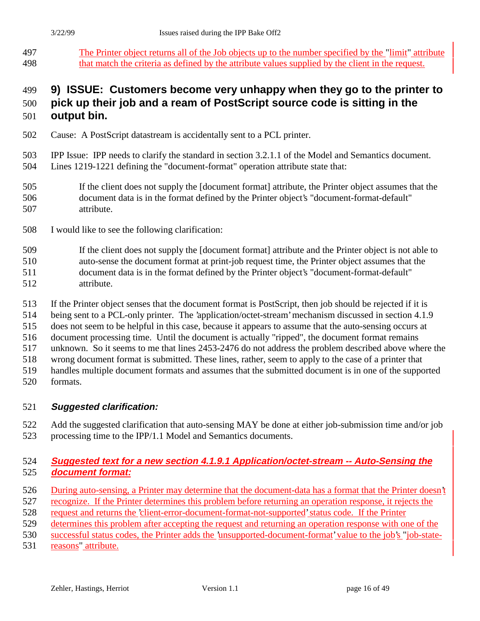The Printer object returns all of the Job objects up to the number specified by the "limit" attribute that match the criteria as defined by the attribute values supplied by the client in the request.

## **9) ISSUE: Customers become very unhappy when they go to the printer to**

# **pick up their job and a ream of PostScript source code is sitting in the**

- **output bin.**
- Cause: A PostScript datastream is accidentally sent to a PCL printer.
- IPP Issue: IPP needs to clarify the standard in section 3.2.1.1 of the Model and Semantics document. Lines 1219-1221 defining the "document-format" operation attribute state that:
- If the client does not supply the [document format] attribute, the Printer object assumes that the document data is in the format defined by the Printer object's "document-format-default" attribute.
- I would like to see the following clarification:
- If the client does not supply the [document format] attribute and the Printer object is not able to auto-sense the document format at print-job request time, the Printer object assumes that the document data is in the format defined by the Printer object's "document-format-default" attribute.
- If the Printer object senses that the document format is PostScript, then job should be rejected if it is
- being sent to a PCL-only printer. The 'application/octet-stream' mechanism discussed in section 4.1.9
- does not seem to be helpful in this case, because it appears to assume that the auto-sensing occurs at
- document processing time. Until the document is actually "ripped", the document format remains
- unknown. So it seems to me that lines 2453-2476 do not address the problem described above where the
- wrong document format is submitted. These lines, rather, seem to apply to the case of a printer that
- handles multiple document formats and assumes that the submitted document is in one of the supported
- formats.

## **Suggested clarification:**

 Add the suggested clarification that auto-sensing MAY be done at either job-submission time and/or job processing time to the IPP/1.1 Model and Semantics documents.

## **Suggested text for a new section 4.1.9.1 Application/octet-stream -- Auto-Sensing the document format:**

- 526 During auto-sensing, a Printer may determine that the document-data has a format that the Printer doesn't
- recognize. If the Printer determines this problem before returning an operation response, it rejects the
- request and returns the 'client-error-document-format-not-supported' status code. If the Printer
- determines this problem after accepting the request and returning an operation response with one of the
- successful status codes, the Printer adds the 'unsupported-document-format' value to the job's "job-state-
- reasons" attribute.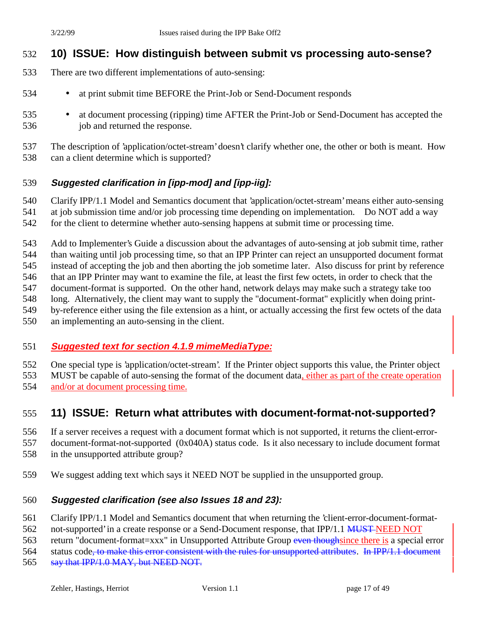## **10) ISSUE: How distinguish between submit vs processing auto-sense?**

- There are two different implementations of auto-sensing:
- at print submit time BEFORE the Print-Job or Send-Document responds
- at document processing (ripping) time AFTER the Print-Job or Send-Document has accepted the 536 job and returned the response.

 The description of 'application/octet-stream' doesn't clarify whether one, the other or both is meant. How can a client determine which is supported?

#### **Suggested clarification in [ipp-mod] and [ipp-iig]:**

Clarify IPP/1.1 Model and Semantics document that 'application/octet-stream' means either auto-sensing

at job submission time and/or job processing time depending on implementation. Do NOT add a way

for the client to determine whether auto-sensing happens at submit time or processing time.

 Add to Implementer's Guide a discussion about the advantages of auto-sensing at job submit time, rather than waiting until job processing time, so that an IPP Printer can reject an unsupported document format

instead of accepting the job and then aborting the job sometime later. Also discuss for print by reference

that an IPP Printer may want to examine the file, at least the first few octets, in order to check that the

- document-format is supported. On the other hand, network delays may make such a strategy take too
- long. Alternatively, the client may want to supply the "document-format" explicitly when doing print-
- by-reference either using the file extension as a hint, or actually accessing the first few octets of the data
- an implementing an auto-sensing in the client.

#### **Suggested text for section 4.1.9 mimeMediaType:**

One special type is 'application/octet-stream'. If the Printer object supports this value, the Printer object

MUST be capable of auto-sensing the format of the document data, either as part of the create operation

and/or at document processing time.

## **11) ISSUE: Return what attributes with document-format-not-supported?**

If a server receives a request with a document format which is not supported, it returns the client-error-

document-format-not-supported (0x040A) status code. Is it also necessary to include document format

- in the unsupported attribute group?
- We suggest adding text which says it NEED NOT be supplied in the unsupported group.

#### **Suggested clarification (see also Issues 18 and 23):**

- Clarify IPP/1.1 Model and Semantics document that when returning the 'client-error-document-format-
- 562 not-supported' in a create response or a Send-Document response, that IPP/1.1 MUST-NEED NOT
- 563 return "document-format=xxx" in Unsupported Attribute Group even thoughsince there is a special error

564 status code<del>, to make this error consistent with the rules for unsupported attributes. In IPP/1.1 document</del>

565 say that IPP/1.0 MAY, but NEED NOT.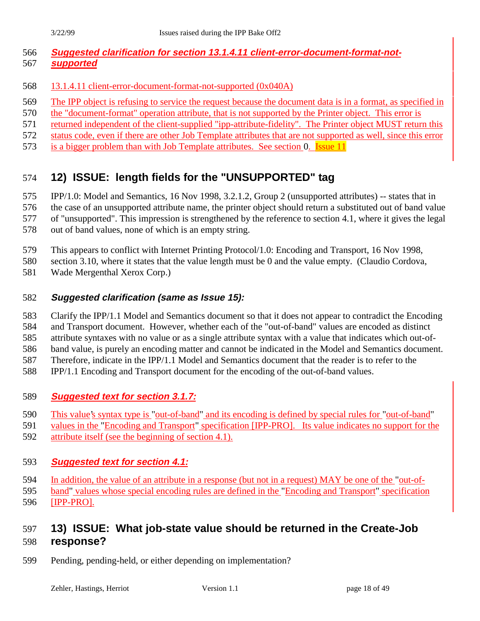#### **Suggested clarification for section 13.1.4.11 client-error-document-format-not-supported**

- 13.1.4.11 client-error-document-format-not-supported (0x040A)
- The IPP object is refusing to service the request because the document data is in a format, as specified in
- the "document-format" operation attribute, that is not supported by the Printer object. This error is
- 571 returned independent of the client-supplied "ipp-attribute-fidelity". The Printer object MUST return this
- status code, even if there are other Job Template attributes that are not supported as well, since this error
- is a bigger problem than with Job Template attributes. See section 0. Issue 11

## **12) ISSUE: length fields for the "UNSUPPORTED" tag**

IPP/1.0: Model and Semantics, 16 Nov 1998, 3.2.1.2, Group 2 (unsupported attributes) -- states that in

the case of an unsupported attribute name, the printer object should return a substituted out of band value

of "unsupported". This impression is strengthened by the reference to section 4.1, where it gives the legal

- out of band values, none of which is an empty string.
- This appears to conflict with Internet Printing Protocol/1.0: Encoding and Transport, 16 Nov 1998,

section 3.10, where it states that the value length must be 0 and the value empty. (Claudio Cordova,

Wade Mergenthal Xerox Corp.)

#### **Suggested clarification (same as Issue 15):**

Clarify the IPP/1.1 Model and Semantics document so that it does not appear to contradict the Encoding

and Transport document. However, whether each of the "out-of-band" values are encoded as distinct

 attribute syntaxes with no value or as a single attribute syntax with a value that indicates which out-of-band value, is purely an encoding matter and cannot be indicated in the Model and Semantics document.

Therefore, indicate in the IPP/1.1 Model and Semantics document that the reader is to refer to the

IPP/1.1 Encoding and Transport document for the encoding of the out-of-band values.

#### **Suggested text for section 3.1.7:**

- This value's syntax type is "out-of-band" and its encoding is defined by special rules for "out-of-band"
- values in the "Encoding and Transport" specification [IPP-PRO]. Its value indicates no support for the
- attribute itself (see the beginning of section 4.1).

#### **Suggested text for section 4.1:**

In addition, the value of an attribute in a response (but not in a request) MAY be one of the "out-of-

band" values whose special encoding rules are defined in the "Encoding and Transport" specification

[IPP-PRO].

## **13) ISSUE: What job-state value should be returned in the Create-Job response?**

Pending, pending-held, or either depending on implementation?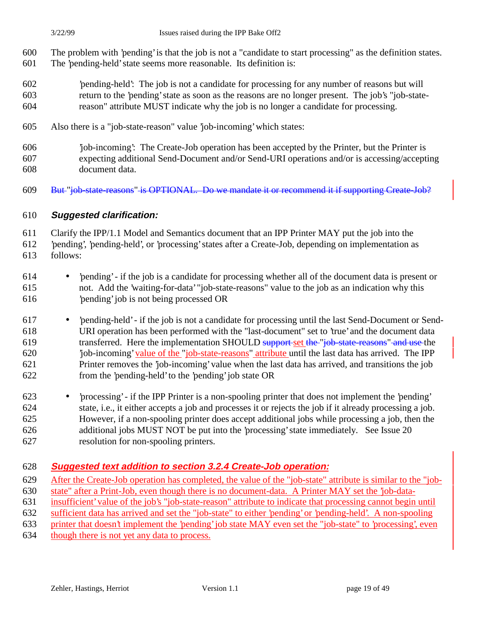- The problem with 'pending' is that the job is not a "candidate to start processing" as the definition states. The 'pending-held' state seems more reasonable. Its definition is:
- 'pending-held': The job is not a candidate for processing for any number of reasons but will return to the 'pending' state as soon as the reasons are no longer present. The job's "job-state-reason" attribute MUST indicate why the job is no longer a candidate for processing.
- Also there is a "job-state-reason" value 'job-incoming' which states:
- 'job-incoming': The Create-Job operation has been accepted by the Printer, but the Printer is expecting additional Send-Document and/or Send-URI operations and/or is accessing/accepting document data.
- But "job-state-reasons" is OPTIONAL. Do we mandate it or recommend it if supporting Create-Job?

#### **Suggested clarification:**

Clarify the IPP/1.1 Model and Semantics document that an IPP Printer MAY put the job into the

- 'pending', 'pending-held', or 'processing' states after a Create-Job, depending on implementation as follows:
- 'pending' if the job is a candidate for processing whether all of the document data is present or not. Add the 'waiting-for-data' "job-state-reasons" value to the job as an indication why this 'pending' job is not being processed OR
- 'pending-held' if the job is not a candidate for processing until the last Send-Document or Send- URI operation has been performed with the "last-document" set to 'true' and the document data transferred. Here the implementation SHOULD support set the "job-state-reasons" and use the 620 'job-incoming' value of the "job-state-reasons" attribute until the last data has arrived. The IPP Printer removes the 'job-incoming' value when the last data has arrived, and transitions the job from the 'pending-held' to the 'pending' job state OR
- 'processing' if the IPP Printer is a non-spooling printer that does not implement the 'pending' state, i.e., it either accepts a job and processes it or rejects the job if it already processing a job. However, if a non-spooling printer does accept additional jobs while processing a job, then the additional jobs MUST NOT be put into the 'processing' state immediately. See Issue 20 resolution for non-spooling printers.

#### **Suggested text addition to section 3.2.4 Create-Job operation:**

- 629 After the Create-Job operation has completed, the value of the "job-state" attribute is similar to the "job-
- state" after a Print-Job, even though there is no document-data. A Printer MAY set the 'job-data-
- insufficient' value of the job's "job-state-reason" attribute to indicate that processing cannot begin until
- sufficient data has arrived and set the "job-state" to either 'pending' or 'pending-held'. A non-spooling
- printer that doesn't implement the 'pending' job state MAY even set the "job-state" to 'processing', even
- though there is not yet any data to process.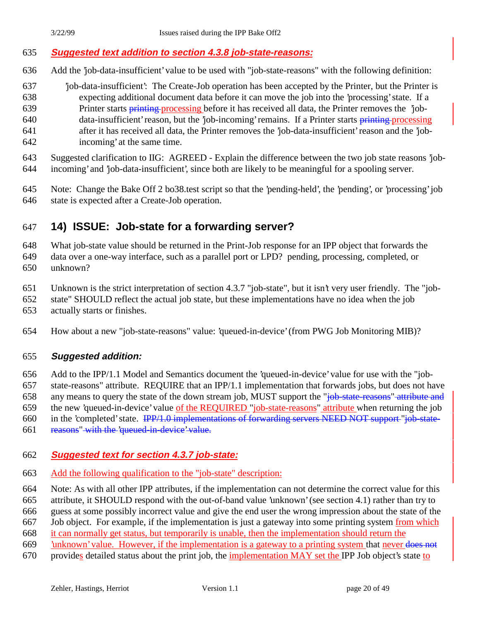#### **Suggested text addition to section 4.3.8 job-state-reasons:**

- Add the 'job-data-insufficient' value to be used with "job-state-reasons" with the following definition:
- 'job-data-insufficient': The Create-Job operation has been accepted by the Printer, but the Printer is expecting additional document data before it can move the job into the 'processing' state. If a 639 Printer starts **printing** processing before it has received all data, the Printer removes the 'job-640 data-insufficient' reason, but the 'job-incoming' remains. If a Printer starts printing processing after it has received all data, the Printer removes the 'job-data-insufficient' reason and the 'job-incoming' at the same time.

 Suggested clarification to IIG: AGREED - Explain the difference between the two job state reasons 'job-incoming' and 'job-data-insufficient', since both are likely to be meaningful for a spooling server.

 Note: Change the Bake Off 2 bo38.test script so that the 'pending-held', the 'pending', or 'processing' job state is expected after a Create-Job operation.

## **14) ISSUE: Job-state for a forwarding server?**

What job-state value should be returned in the Print-Job response for an IPP object that forwards the

 data over a one-way interface, such as a parallel port or LPD? pending, processing, completed, or unknown?

- Unknown is the strict interpretation of section 4.3.7 "job-state", but it isn't very user friendly. The "job-
- state" SHOULD reflect the actual job state, but these implementations have no idea when the job
- actually starts or finishes.

How about a new "job-state-reasons" value: 'queued-in-device' (from PWG Job Monitoring MIB)?

#### **Suggested addition:**

 Add to the IPP/1.1 Model and Semantics document the 'queued-in-device' value for use with the "job- state-reasons" attribute. REQUIRE that an IPP/1.1 implementation that forwards jobs, but does not have 658 any means to query the state of the down stream job, MUST support the "job-state-reasons" attribute and the new 'queued-in-device' value of the REQUIRED "job-state-reasons" attribute when returning the job

in the 'completed' state. IPP/1.0 implementations of forwarding servers NEED NOT support "job-state-

- 
- reasons" with the 'queued-in-device' value.

#### **Suggested text for section 4.3.7 job-state:**

- Add the following qualification to the "job-state" description:
- Note: As with all other IPP attributes, if the implementation can not determine the correct value for this

attribute, it SHOULD respond with the out-of-band value 'unknown' (see section 4.1) rather than try to

guess at some possibly incorrect value and give the end user the wrong impression about the state of the

Job object. For example, if the implementation is just a gateway into some printing system from which

it can normally get status, but temporarily is unable, then the implementation should return the

- 'unknown' value. However, if the implementation is a gateway to a printing system that never does not
- provides detailed status about the print job, the implementation MAY set the IPP Job object's state to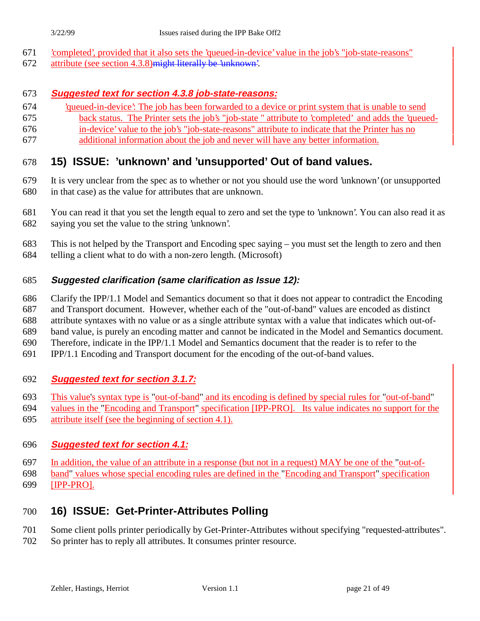- 'completed', provided that it also sets the 'queued-in-device' value in the job's "job-state-reasons"
- attribute (see section 4.3.8)might literally be 'unknown'.

#### **Suggested text for section 4.3.8 job-state-reasons:**

- 'queued-in-device': The job has been forwarded to a device or print system that is unable to send
- back status. The Printer sets the job's "job-state " attribute to 'completed' and adds the 'queued-in-device' value to the job's "job-state-reasons" attribute to indicate that the Printer has no
- additional information about the job and never will have any better information.

## **15) ISSUE: 'unknown' and 'unsupported' Out of band values.**

- It is very unclear from the spec as to whether or not you should use the word 'unknown' (or unsupported in that case) as the value for attributes that are unknown.
- You can read it that you set the length equal to zero and set the type to 'unknown'. You can also read it as saying you set the value to the string 'unknown'.
- This is not helped by the Transport and Encoding spec saying you must set the length to zero and then telling a client what to do with a non-zero length. (Microsoft)

#### **Suggested clarification (same clarification as Issue 12):**

- Clarify the IPP/1.1 Model and Semantics document so that it does not appear to contradict the Encoding
- and Transport document. However, whether each of the "out-of-band" values are encoded as distinct
- attribute syntaxes with no value or as a single attribute syntax with a value that indicates which out-of-
- band value, is purely an encoding matter and cannot be indicated in the Model and Semantics document.
- Therefore, indicate in the IPP/1.1 Model and Semantics document that the reader is to refer to the
- IPP/1.1 Encoding and Transport document for the encoding of the out-of-band values.

#### **Suggested text for section 3.1.7:**

- This value's syntax type is "out-of-band" and its encoding is defined by special rules for "out-of-band"
- values in the "Encoding and Transport" specification [IPP-PRO]. Its value indicates no support for the
- attribute itself (see the beginning of section 4.1).

#### **Suggested text for section 4.1:**

- In addition, the value of an attribute in a response (but not in a request) MAY be one of the "out-of-
- band" values whose special encoding rules are defined in the "Encoding and Transport" specification [IPP-PRO].

## **16) ISSUE: Get-Printer-Attributes Polling**

- Some client polls printer periodically by Get-Printer-Attributes without specifying "requested-attributes".
- So printer has to reply all attributes. It consumes printer resource.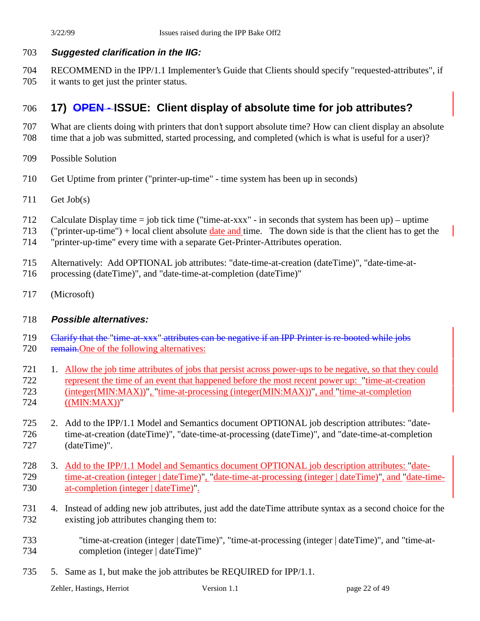## **Suggested clarification in the IIG:**

 RECOMMEND in the IPP/1.1 Implementer's Guide that Clients should specify "requested-attributes", if it wants to get just the printer status.

## **17) OPEN - ISSUE: Client display of absolute time for job attributes?**

- What are clients doing with printers that don't support absolute time? How can client display an absolute
- time that a job was submitted, started processing, and completed (which is what is useful for a user)?
- Possible Solution
- Get Uptime from printer ("printer-up-time" time system has been up in seconds)
- Get Job(s)
- Calculate Display time = job tick time ("time-at-xxx" in seconds that system has been up) uptime
- ("printer-up-time") + local client absolute date and time. The down side is that the client has to get the
- "printer-up-time" every time with a separate Get-Printer-Attributes operation.
- Alternatively: Add OPTIONAL job attributes: "date-time-at-creation (dateTime)", "date-time-at-
- processing (dateTime)", and "date-time-at-completion (dateTime)"
- (Microsoft)

#### **Possible alternatives:**

- 719 Clarify that the "time-at-xxx" attributes can be negative if an IPP Printer is re-booted while jobs
- 720 remain. One of the following alternatives:
- 721 1. Allow the job time attributes of jobs that persist across power-ups to be negative, so that they could represent the time of an event that happened before the most recent power up: "time-at-creation (integer(MIN:MAX))", "time-at-processing (integer(MIN:MAX))", and "time-at-completion ((MIN:MAX))"
- 2. Add to the IPP/1.1 Model and Semantics document OPTIONAL job description attributes: "date- time-at-creation (dateTime)", "date-time-at-processing (dateTime)", and "date-time-at-completion (dateTime)".
- 3. Add to the IPP/1.1 Model and Semantics document OPTIONAL job description attributes: "date-729 time-at-creation (integer | dateTime)", "date-time-at-processing (integer | dateTime)", and "date-time-730 at-completion (integer | dateTime)".
- 4. Instead of adding new job attributes, just add the dateTime attribute syntax as a second choice for the existing job attributes changing them to:
- "time-at-creation (integer | dateTime)", "time-at-processing (integer | dateTime)", and "time-at-734 completion (integer | dateTime)"
- 5. Same as 1, but make the job attributes be REQUIRED for IPP/1.1.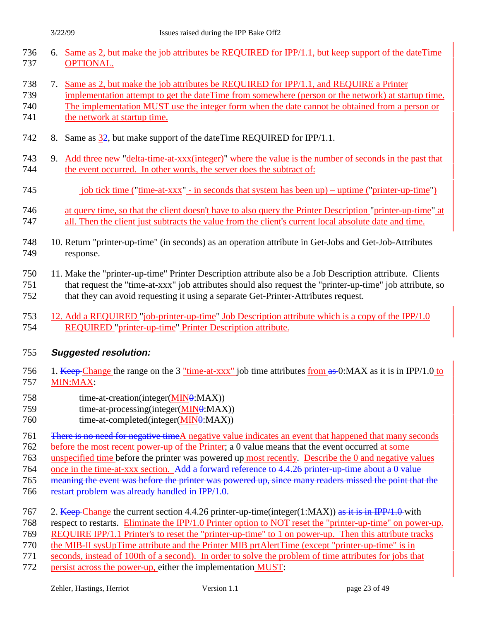|     | 736 6. Same as 2, but make the job attributes be REQUIRED for IPP/1.1, but keep support of the dateTime |
|-----|---------------------------------------------------------------------------------------------------------|
| 737 | OPTIONAL.                                                                                               |

- 7. Same as 2, but make the job attributes be REQUIRED for IPP/1.1, and REQUIRE a Printer
- implementation attempt to get the dateTime from somewhere (person or the network) at startup time. The implementation MUST use the integer form when the date cannot be obtained from a person or 741 the network at startup time.
- 
- 742 8. Same as  $\frac{32}{2}$ , but make support of the dateTime REQUIRED for IPP/1.1.
- 9. Add three new "delta-time-at-xxx(integer)" where the value is the number of seconds in the past that the event occurred. In other words, the server does the subtract of:
- 745 job tick time ("time-at-xxx" in seconds that system has been up) uptime ("printer-up-time")
- at query time, so that the client doesn't have to also query the Printer Description "printer-up-time" at all. Then the client just subtracts the value from the client's current local absolute date and time.
- 10. Return "printer-up-time" (in seconds) as an operation attribute in Get-Jobs and Get-Job-Attributes response.
- 11. Make the "printer-up-time" Printer Description attribute also be a Job Description attribute. Clients that request the "time-at-xxx" job attributes should also request the "printer-up-time" job attribute, so that they can avoid requesting it using a separate Get-Printer-Attributes request.
- 12. Add a REQUIRED "job-printer-up-time" Job Description attribute which is a copy of the IPP/1.0 REQUIRED "printer-up-time" Printer Description attribute.

#### **Suggested resolution:**

- 756 1. Keep Change the range on the 3 "time-at-xxx" job time attributes from as 0:MAX as it is in IPP/1.0 to MIN:MAX:
- 758 time-at-creation(integer(MIN0:MAX))
- 759 time-at-processing(integer(MIN0:MAX))
- 760 time-at-completed(integer(MIN0:MAX))
- 761 There is no need for negative time A negative value indicates an event that happened that many seconds
- 762 before the most recent power-up of the Printer; a 0 value means that the event occurred at some
- unspecified time before the printer was powered up most recently. Describe the 0 and negative values
- 764 once in the time-at-xxx section. Add a forward reference to 4.4.26 printer-up-time about a 0 value
- meaning the event was before the printer was powered up, since many readers missed the point that the
- restart problem was already handled in IPP/1.0.
- 767 2. Keep Change the current section 4.4.26 printer-up-time(integer(1:MAX)) as it is in IPP/1.0 with
- respect to restarts. Eliminate the IPP/1.0 Printer option to NOT reset the "printer-up-time" on power-up.
- REQUIRE IPP/1.1 Printer's to reset the "printer-up-time" to 1 on power-up. Then this attribute tracks
- the MIB-II sysUpTime attribute and the Printer MIB prtAlertTime (except "printer-up-time" is in
- seconds, instead of 100th of a second). In order to solve the problem of time attributes for jobs that
- persist across the power-up, either the implementation MUST: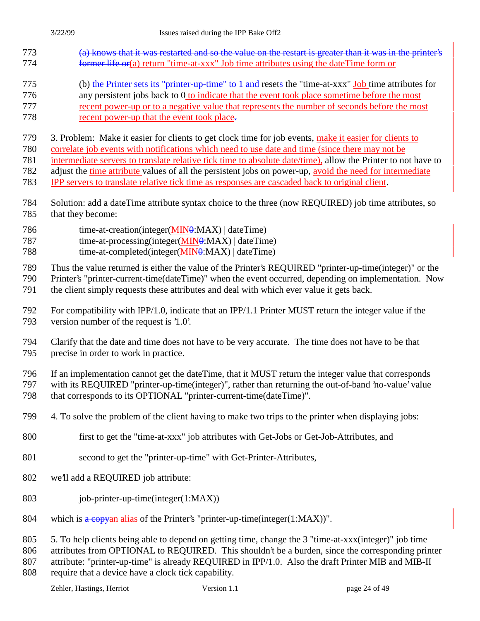- (a) knows that it was restarted and so the value on the restart is greater than it was in the printer's **former life or**(a) return "time-at-xxx" Job time attributes using the dateTime form or
- (b) the Printer sets its "printer-up-time" to 1 and resets the "time-at-xxx" Job time attributes for any persistent jobs back to 0 to indicate that the event took place sometime before the most recent power-up or to a negative value that represents the number of seconds before the most
- recent power-up that the event took place.

3. Problem: Make it easier for clients to get clock time for job events, make it easier for clients to

correlate job events with notifications which need to use date and time (since there may not be

intermediate servers to translate relative tick time to absolute date/time), allow the Printer to not have to

adjust the time attribute values of all the persistent jobs on power-up, avoid the need for intermediate

- IPP servers to translate relative tick time as responses are cascaded back to original client.
- Solution: add a dateTime attribute syntax choice to the three (now REQUIRED) job time attributes, so that they become:
- 786 time-at-creation(integer(MIN0:MAX) | dateTime)
- 787 time-at-processing(integer(MIN0:MAX) | dateTime)
- time-at-completed(integer(MIN0:MAX) | dateTime)

Thus the value returned is either the value of the Printer's REQUIRED "printer-up-time(integer)" or the

 Printer's "printer-current-time(dateTime)" when the event occurred, depending on implementation. Now the client simply requests these attributes and deal with which ever value it gets back.

- For compatibility with IPP/1.0, indicate that an IPP/1.1 Printer MUST return the integer value if the version number of the request is '1.0'.
- Clarify that the date and time does not have to be very accurate. The time does not have to be that precise in order to work in practice.

If an implementation cannot get the dateTime, that it MUST return the integer value that corresponds

- with its REQUIRED "printer-up-time(integer)", rather than returning the out-of-band 'no-value' value that corresponds to its OPTIONAL "printer-current-time(dateTime)".
- 4. To solve the problem of the client having to make two trips to the printer when displaying jobs:
- first to get the "time-at-xxx" job attributes with Get-Jobs or Get-Job-Attributes, and
- second to get the "printer-up-time" with Get-Printer-Attributes,
- we'll add a REQUIRED job attribute:
- job-printer-up-time(integer(1:MAX))
- 804 which is a copyan alias of the Printer's "printer-up-time(integer(1:MAX))".

5. To help clients being able to depend on getting time, change the 3 "time-at-xxx(integer)" job time

attributes from OPTIONAL to REQUIRED. This shouldn't be a burden, since the corresponding printer

attribute: "printer-up-time" is already REQUIRED in IPP/1.0. Also the draft Printer MIB and MIB-II

require that a device have a clock tick capability.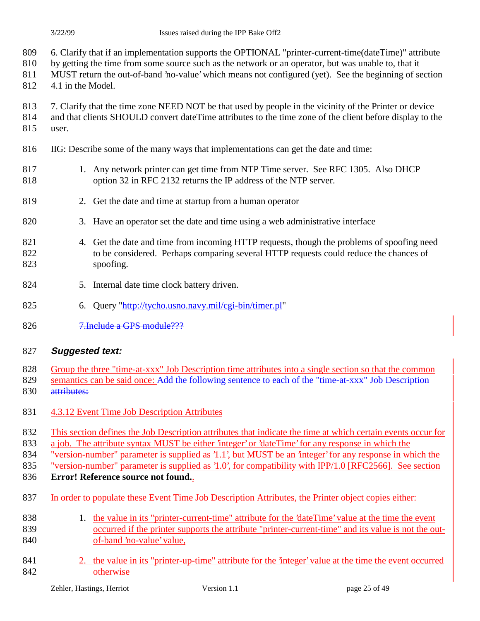- 6. Clarify that if an implementation supports the OPTIONAL "printer-current-time(dateTime)" attribute
- by getting the time from some source such as the network or an operator, but was unable to, that it
- MUST return the out-of-band 'no-value' which means not configured (yet). See the beginning of section
- 4.1 in the Model.
- 813 7. Clarify that the time zone NEED NOT be that used by people in the vicinity of the Printer or device
- and that clients SHOULD convert dateTime attributes to the time zone of the client before display to the
- user.
- IIG: Describe some of the many ways that implementations can get the date and time:
- 817 1. Any network printer can get time from NTP Time server. See RFC 1305. Also DHCP option 32 in RFC 2132 returns the IP address of the NTP server.
- 2. Get the date and time at startup from a human operator
- 3. Have an operator set the date and time using a web administrative interface
- 4. Get the date and time from incoming HTTP requests, though the problems of spoofing need to be considered. Perhaps comparing several HTTP requests could reduce the chances of spoofing.
- 5. Internal date time clock battery driven.
- 6. Query "http://tycho.usno.navy.mil/cgi-bin/timer.pl"
- 7.Include a GPS module???

#### **Suggested text:**

- Group the three "time-at-xxx" Job Description time attributes into a single section so that the common
- 829 semantics can be said once: Add the following sentence to each of the "time-at-xxx" Job Description 830 attributes:
- 4.3.12 Event Time Job Description Attributes
- This section defines the Job Description attributes that indicate the time at which certain events occur for
- a job. The attribute syntax MUST be either 'integer' or 'dateTime' for any response in which the
- "version-number" parameter is supplied as '1.1', but MUST be an 'integer' for any response in which the
- "version-number" parameter is supplied as '1.0', for compatibility with IPP/1.0 [RFC2566]. See section
- **Error! Reference source not found.**.
- In order to populate these Event Time Job Description Attributes, the Printer object copies either:
- 1. the value in its "printer-current-time" attribute for the 'dateTime' value at the time the event occurred if the printer supports the attribute "printer-current-time" and its value is not the out-of-band 'no-value' value,
- 841 2. the value in its "printer-up-time" attribute for the 'integer' value at the time the event occurred otherwise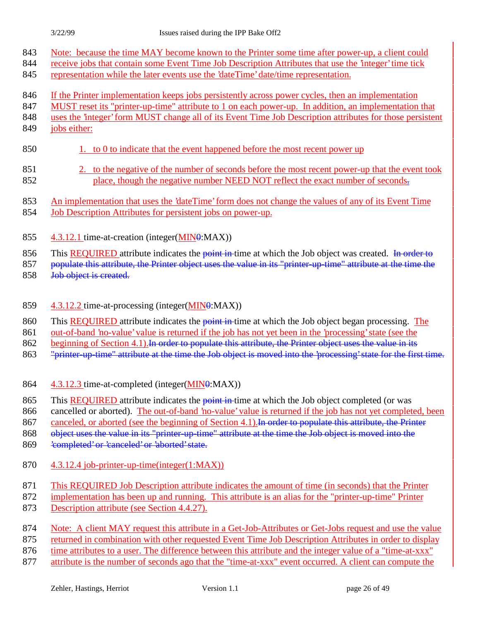- 843 Note: because the time MAY become known to the Printer some time after power-up, a client could
- 844 receive jobs that contain some Event Time Job Description Attributes that use the 'integer' time tick
- 845 representation while the later events use the 'dateTime' date/time representation.
- 846 If the Printer implementation keeps jobs persistently across power cycles, then an implementation
- 847 MUST reset its "printer-up-time" attribute to 1 on each power-up. In addition, an implementation that
- 848 uses the 'integer' form MUST change all of its Event Time Job Description attributes for those persistent
- 849 jobs either:
- 850 1. to 0 to indicate that the event happened before the most recent power up
- 851 2. to the negative of the number of seconds before the most recent power-up that the event took 852 place, though the negative number NEED NOT reflect the exact number of seconds.
- 853 An implementation that uses the 'dateTime' form does not change the values of any of its Event Time
- 854 Job Description Attributes for persistent jobs on power-up.
- 855 4.3.12.1 time-at-creation (integer(MIN0:MAX))
- 856 This REQUIRED attribute indicates the point in time at which the Job object was created. In order to
- 857 populate this attribute, the Printer object uses the value in its "printer-up-time" attribute at the time the
- 858 Job object is created.
- 859 4.3.12.2 time-at-processing (integer(MIN0:MAX))
- 860 This REQUIRED attribute indicates the point in time at which the Job object began processing. The
- 861 out-of-band 'no-value' value is returned if the job has not yet been in the 'processing' state (see the
- 862 beginning of Section 4.1). In order to populate this attribute, the Printer object uses the value in its
- 863 "printer-up-time" attribute at the time the Job object is moved into the 'processing' state for the first time.
- 864 4.3.12.3 time-at-completed (integer(MIN0:MAX))
- 865 This **REQUIRED** attribute indicates the **point in** time at which the Job object completed (or was
- 866 cancelled or aborted). The out-of-band 'no-value' value is returned if the job has not yet completed, been

867 canceled, or aborted (see the beginning of Section 4.1). In order to populate this attribute, the Printer

868 object uses the value in its "printer-up-time" attribute at the time the Job object is moved into the

- 869 'completed' or 'canceled' or 'aborted' state.
- 870 4.3.12.4 job-printer-up-time(integer(1:MAX))
- 871 This REQUIRED Job Description attribute indicates the amount of time (in seconds) that the Printer
- 872 implementation has been up and running. This attribute is an alias for the "printer-up-time" Printer
- 873 Description attribute (see Section 4.4.27).
- 874 Note: A client MAY request this attribute in a Get-Job-Attributes or Get-Jobs request and use the value
- 875 returned in combination with other requested Event Time Job Description Attributes in order to display
- 876 time attributes to a user. The difference between this attribute and the integer value of a "time-at-xxx"
- 877 attribute is the number of seconds ago that the "time-at-xxx" event occurred. A client can compute the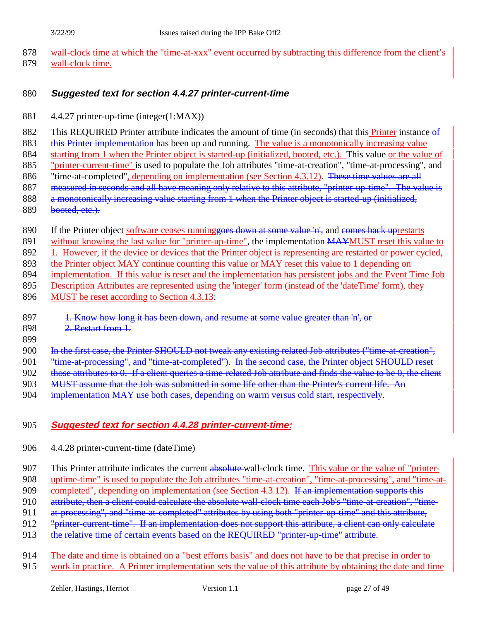878 wall-clock time at which the "time-at-xxx" event occurred by subtracting this difference from the client's 879 wall-clock time.

#### 880 **Suggested text for section 4.4.27 printer-current-time**

881 4.4.27 printer-up-time (integer(1:MAX))

882 This REQUIRED Printer attribute indicates the amount of time (in seconds) that this **Printer** instance  $\theta$ **f** 883 this Printer implementation has been up and running. The value is a monotonically increasing value 884 starting from 1 when the Printer object is started-up (initialized, booted, etc.). This value or the value of 885 "printer-current-time" is used to populate the Job attributes "time-at-creation", "time-at-processing", and 886 "time-at-completed", depending on implementation (see Section 4.3.12). These time values are all 887 measured in seconds and all have meaning only relative to this attribute, "printer-up-time". The value is 888 a monotonically increasing value starting from 1 when the Printer object is started-up (initialized,

- 889 booted, etc.).
- 890 If the Printer object software ceases runninggoes down at some value 'n', and comes back uprestarts
- 891 without knowing the last value for "printer-up-time", the implementation MAYMUST reset this value to
- 892 1. However, if the device or devices that the Printer object is representing are restarted or power cycled,
- 893 the Printer object MAY continue counting this value or MAY reset this value to 1 depending on
- 894 implementation. If this value is reset and the implementation has persistent jobs and the Event Time Job
- 895 Description Attributes are represented using the 'integer' form (instead of the 'dateTime' form), they
- 896 MUST be reset according to Section 4.3.13:
- 897 1. Know how long it has been down, and resume at some value greater than 'n', or
- 898 2. Restart from 1.
- 899
- 900 In the first case, the Printer SHOULD not tweak any existing related Job attributes ("time-at-creation",
- 901 "<del>time-at-processing", and "time-at-completed"). In the second case, the Printer object SHOULD reset</del>
- 902 those attributes to 0. If a client queries a time-related Job attribute and finds the value to be 0, the client
- 903 MUST assume that the Job was submitted in some life other than the Printer's current life. An
- 904 implementation MAY use both cases, depending on warm versus cold start, respectively.

## 905 **Suggested text for section 4.4.28 printer-current-time:**

906 4.4.28 printer-current-time (dateTime)

907 This Printer attribute indicates the current absolute wall-clock time. This value or the value of "printer-

908 uptime-time" is used to populate the Job attributes "time-at-creation", "time-at-processing", and "time-at-

909 completed", depending on implementation (see Section 4.3.12). If an implementation supports this

910 attribute, then a client could calculate the absolute wall-clock time each Job's "time-at-creation", "time-

910 at processing", and "time-at-completed" attributes by using both "printer-up-time" and this attribute,

- 912 "printer-current-time". If an implementation does not support this attribute, a client can only calculate
- 913 the relative time of certain events based on the REQUIRED "printer-up-time" attribute.
- 914 The date and time is obtained on a "best efforts basis" and does not have to be that precise in order to 915 work in practice. A Printer implementation sets the value of this attribute by obtaining the date and time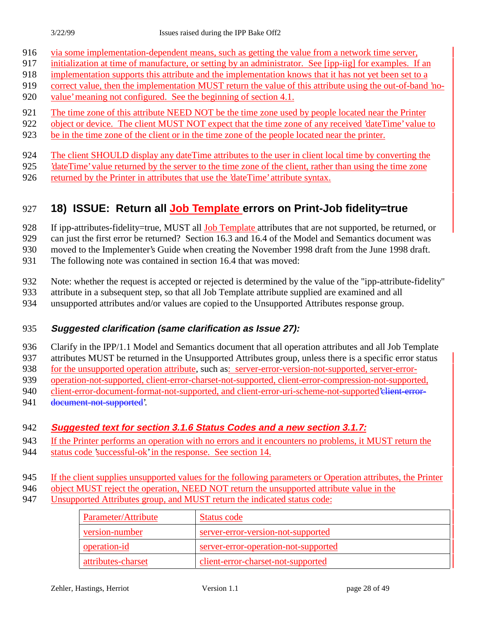- via some implementation-dependent means, such as getting the value from a network time server,
- initialization at time of manufacture, or setting by an administrator. See [ipp-iig] for examples. If an
- implementation supports this attribute and the implementation knows that it has not yet been set to a
- correct value, then the implementation MUST return the value of this attribute using the out-of-band 'no-value' meaning not configured. See the beginning of section 4.1.
- 
- The time zone of this attribute NEED NOT be the time zone used by people located near the Printer
- 922 object or device. The client MUST NOT expect that the time zone of any received 'dateTime' value to
- be in the time zone of the client or in the time zone of the people located near the printer.
- The client SHOULD display any dateTime attributes to the user in client local time by converting the
- 'dateTime' value returned by the server to the time zone of the client, rather than using the time zone
- returned by the Printer in attributes that use the 'dateTime' attribute syntax.

## **18) ISSUE: Return all Job Template errors on Print-Job fidelity=true**

928 If ipp-attributes-fidelity=true, MUST all Job Template attributes that are not supported, be returned, or

can just the first error be returned? Section 16.3 and 16.4 of the Model and Semantics document was

moved to the Implementer's Guide when creating the November 1998 draft from the June 1998 draft.

- The following note was contained in section 16.4 that was moved:
- Note: whether the request is accepted or rejected is determined by the value of the "ipp-attribute-fidelity"
- attribute in a subsequent step, so that all Job Template attribute supplied are examined and all
- unsupported attributes and/or values are copied to the Unsupported Attributes response group.

## **Suggested clarification (same clarification as Issue 27):**

Clarify in the IPP/1.1 Model and Semantics document that all operation attributes and all Job Template

- attributes MUST be returned in the Unsupported Attributes group, unless there is a specific error status
- for the unsupported operation attribute, such as: server-error-version-not-supported, server-error-
- operation-not-supported, client-error-charset-not-supported, client-error-compression-not-supported,
- 940 client-error-document-format-not-supported, and client-error-uri-scheme-not-supported'elient-error-
- 941 document-not-supported'.

## **Suggested text for section 3.1.6 Status Codes and a new section 3.1.7:**

- If the Printer performs an operation with no errors and it encounters no problems, it MUST return the
- status code 'successful-ok' in the response. See section 14.
- If the client supplies unsupported values for the following parameters or Operation attributes, the Printer
- 946 object MUST reject the operation, NEED NOT return the unsupported attribute value in the
- Unsupported Attributes group, and MUST return the indicated status code:

| Parameter/Attribute | Status code                          |
|---------------------|--------------------------------------|
| version-number      | server-error-version-not-supported   |
| operation-id        | server-error-operation-not-supported |
| attributes-charset  | client-error-charset-not-supported   |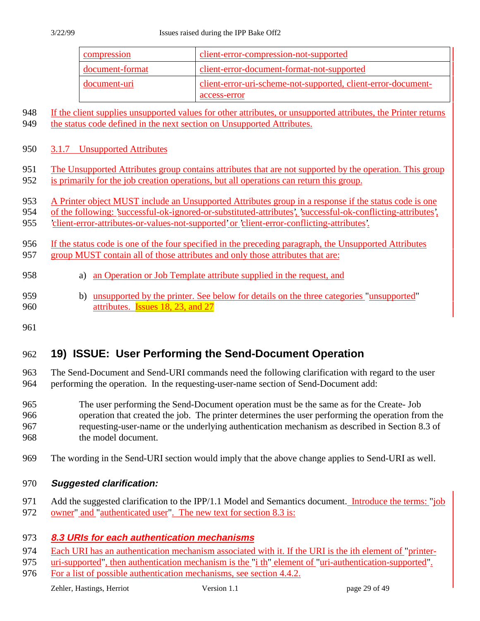| compression     | client-error-compression-not-supported                                        |
|-----------------|-------------------------------------------------------------------------------|
| document-format | client-error-document-format-not-supported                                    |
| document-uri    | client-error-uri-scheme-not-supported, client-error-document-<br>access-error |

- If the client supplies unsupported values for other attributes, or unsupported attributes, the Printer returns
- 949 the status code defined in the next section on Unsupported Attributes.
- 3.1.7 Unsupported Attributes
- The Unsupported Attributes group contains attributes that are not supported by the operation. This group
- is primarily for the job creation operations, but all operations can return this group.
- 953 A Printer object MUST include an Unsupported Attributes group in a response if the status code is one
- of the following: 'successful-ok-ignored-or-substituted-attributes', 'successful-ok-conflicting-attributes',
- 'client-error-attributes-or-values-not-supported' or 'client-error-conflicting-attributes'.
- If the status code is one of the four specified in the preceding paragraph, the Unsupported Attributes 957 group MUST contain all of those attributes and only those attributes that are:
- a) an Operation or Job Template attribute supplied in the request, and
- b) unsupported by the printer. See below for details on the three categories "unsupported" **attributes**. **Issues 18, 23, and 27**
- 

## **19) ISSUE: User Performing the Send-Document Operation**

 The Send-Document and Send-URI commands need the following clarification with regard to the user performing the operation. In the requesting-user-name section of Send-Document add:

- The user performing the Send-Document operation must be the same as for the Create- Job operation that created the job. The printer determines the user performing the operation from the requesting-user-name or the underlying authentication mechanism as described in Section 8.3 of the model document.
- The wording in the Send-URI section would imply that the above change applies to Send-URI as well.
- **Suggested clarification:**
- 971 Add the suggested clarification to the IPP/1.1 Model and Semantics document. Introduce the terms: "job
- 972 owner" and "authenticated user". The new text for section 8.3 is:

#### **8.3 URIs for each authentication mechanisms**

- 974 Each URI has an authentication mechanism associated with it. If the URI is the ith element of "printer-
- uri-supported", then authentication mechanism is the "i th" element of "uri-authentication-supported".
- For a list of possible authentication mechanisms, see section 4.4.2.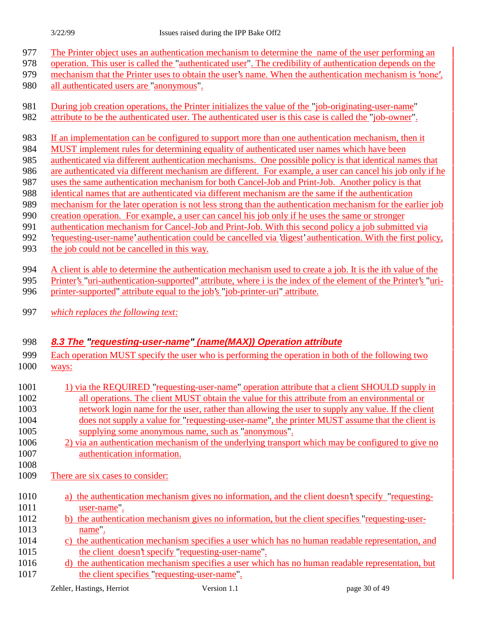- The Printer object uses an authentication mechanism to determine the name of the user performing an
- operation. This user is called the "authenticated user". The credibility of authentication depends on the
- 979 mechanism that the Printer uses to obtain the user's name. When the authentication mechanism is 'none',
- all authenticated users are "anonymous".
- 981 During job creation operations, the Printer initializes the value of the "job-originating-user-name"
- 982 attribute to be the authenticated user. The authenticated user is this case is called the "job-owner".
- If an implementation can be configured to support more than one authentication mechanism, then it
- MUST implement rules for determining equality of authenticated user names which have been
- authenticated via different authentication mechanisms. One possible policy is that identical names that
- are authenticated via different mechanism are different. For example, a user can cancel his job only if he
- uses the same authentication mechanism for both Cancel-Job and Print-Job. Another policy is that
- identical names that are authenticated via different mechanism are the same if the authentication
- mechanism for the later operation is not less strong than the authentication mechanism for the earlier job
- 990 creation operation. For example, a user can cancel his job only if he uses the same or stronger authentication mechanism for Cancel-Job and Print-Job. With this second policy a job submitted via
- 'requesting-user-name' authentication could be cancelled via 'digest' authentication. With the first policy,
- the job could not be cancelled in this way.
- A client is able to determine the authentication mechanism used to create a job. It is the ith value of the
- Printer's "uri-authentication-supported" attribute, where i is the index of the element of the Printer's "uri-
- 996 printer-supported" attribute equal to the job's "job-printer-uri" attribute.
- *which replaces the following text:*

## **8.3 The "requesting-user-name" (name(MAX)) Operation attribute**

- Each operation MUST specify the user who is performing the operation in both of the following two ways:
- 1001 1) via the REQUIRED "requesting-user-name" operation attribute that a client SHOULD supply in all operations. The client MUST obtain the value for this attribute from an environmental or network login name for the user, rather than allowing the user to supply any value. If the client
- does not supply a value for "requesting-user-name", the printer MUST assume that the client is supplying some anonymous name, such as "anonymous".
- 2) via an authentication mechanism of the underlying transport which may be configured to give no authentication information.
- 

There are six cases to consider:

- a) the authentication mechanism gives no information, and the client doesn't specify "requesting-user-name".
- b) the authentication mechanism gives no information, but the client specifies "requesting-user-**name**".
- c) the authentication mechanism specifies a user which has no human readable representation, and the client doesn't specify "requesting-user-name".
- 1016 d) the authentication mechanism specifies a user which has no human readable representation, but 1017 the client specifies "requesting-user-name".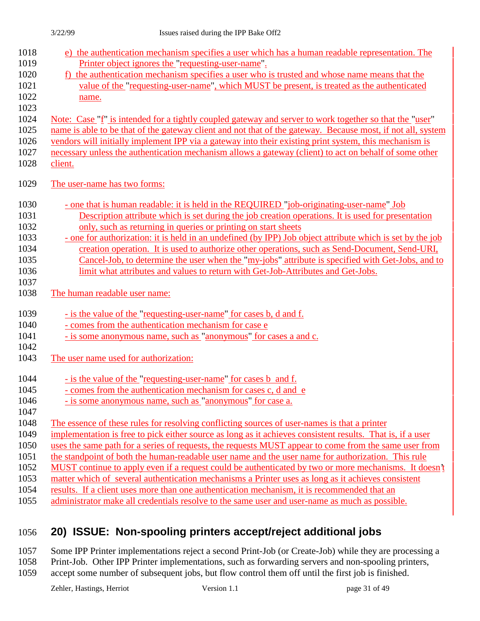| 1018<br>1019<br>1020<br>1021<br>1022<br>1023 | e) the authentication mechanism specifies a user which has a human readable representation. The<br>Printer object ignores the "requesting-user-name".<br>f) the authentication mechanism specifies a user who is trusted and whose name means that the<br>value of the "requesting-user-name", which MUST be present, is treated as the authenticated<br>name. |
|----------------------------------------------|----------------------------------------------------------------------------------------------------------------------------------------------------------------------------------------------------------------------------------------------------------------------------------------------------------------------------------------------------------------|
| 1024                                         | Note: Case "f" is intended for a tightly coupled gateway and server to work together so that the "user"                                                                                                                                                                                                                                                        |
| 1025                                         | name is able to be that of the gateway client and not that of the gateway. Because most, if not all, system                                                                                                                                                                                                                                                    |
| 1026                                         | vendors will initially implement IPP via a gateway into their existing print system, this mechanism is                                                                                                                                                                                                                                                         |
| 1027                                         | necessary unless the authentication mechanism allows a gateway (client) to act on behalf of some other                                                                                                                                                                                                                                                         |
| 1028                                         | client.                                                                                                                                                                                                                                                                                                                                                        |
| 1029                                         | The user-name has two forms:                                                                                                                                                                                                                                                                                                                                   |
| 1030                                         | - one that is human readable: it is held in the REQUIRED "job-originating-user-name" Job                                                                                                                                                                                                                                                                       |
| 1031                                         | Description attribute which is set during the job creation operations. It is used for presentation                                                                                                                                                                                                                                                             |
| 1032                                         | only, such as returning in queries or printing on start sheets                                                                                                                                                                                                                                                                                                 |
| 1033                                         | - one for authorization: it is held in an undefined (by IPP) Job object attribute which is set by the job                                                                                                                                                                                                                                                      |
| 1034                                         | creation operation. It is used to authorize other operations, such as Send-Document, Send-URI,                                                                                                                                                                                                                                                                 |
| 1035                                         | Cancel-Job, to determine the user when the "my-jobs" attribute is specified with Get-Jobs, and to                                                                                                                                                                                                                                                              |
| 1036                                         | limit what attributes and values to return with Get-Job-Attributes and Get-Jobs.                                                                                                                                                                                                                                                                               |
| 1037<br>1038                                 | The human readable user name:                                                                                                                                                                                                                                                                                                                                  |
|                                              | - is the value of the "requesting-user-name" for cases b, d and f.                                                                                                                                                                                                                                                                                             |
|                                              |                                                                                                                                                                                                                                                                                                                                                                |
| 1039<br>1040                                 | - comes from the authentication mechanism for case e                                                                                                                                                                                                                                                                                                           |
| 1041                                         |                                                                                                                                                                                                                                                                                                                                                                |
| 1042                                         | - is some anonymous name, such as "anonymous" for cases a and c.                                                                                                                                                                                                                                                                                               |
| 1043                                         | The user name used for authorization:                                                                                                                                                                                                                                                                                                                          |
| 1044                                         | - is the value of the "requesting-user-name" for cases b and f.                                                                                                                                                                                                                                                                                                |
| 1045                                         | - comes from the authentication mechanism for cases c, d and e                                                                                                                                                                                                                                                                                                 |
| 1046                                         | - is some anonymous name, such as "anonymous" for case a.                                                                                                                                                                                                                                                                                                      |
| 1047                                         |                                                                                                                                                                                                                                                                                                                                                                |
| 1048                                         | The essence of these rules for resolving conflicting sources of user-names is that a printer                                                                                                                                                                                                                                                                   |
| 1049                                         | implementation is free to pick either source as long as it achieves consistent results. That is, if a user                                                                                                                                                                                                                                                     |
| 1050                                         | uses the same path for a series of requests, the requests MUST appear to come from the same user from                                                                                                                                                                                                                                                          |
| 1051                                         | the standpoint of both the human-readable user name and the user name for authorization. This rule                                                                                                                                                                                                                                                             |
| 1052                                         | MUST continue to apply even if a request could be authenticated by two or more mechanisms. It doesn't                                                                                                                                                                                                                                                          |
| 1053                                         | matter which of several authentication mechanisms a Printer uses as long as it achieves consistent                                                                                                                                                                                                                                                             |
| 1054<br>1055                                 | results. If a client uses more than one authentication mechanism, it is recommended that an<br>administrator make all credentials resolve to the same user and user-name as much as possible.                                                                                                                                                                  |

## 1056 **20) ISSUE: Non-spooling printers accept/reject additional jobs**

1057 Some IPP Printer implementations reject a second Print-Job (or Create-Job) while they are processing a 1058 Print-Job. Other IPP Printer implementations, such as forwarding servers and non-spooling printers,

1059 accept some number of subsequent jobs, but flow control them off until the first job is finished.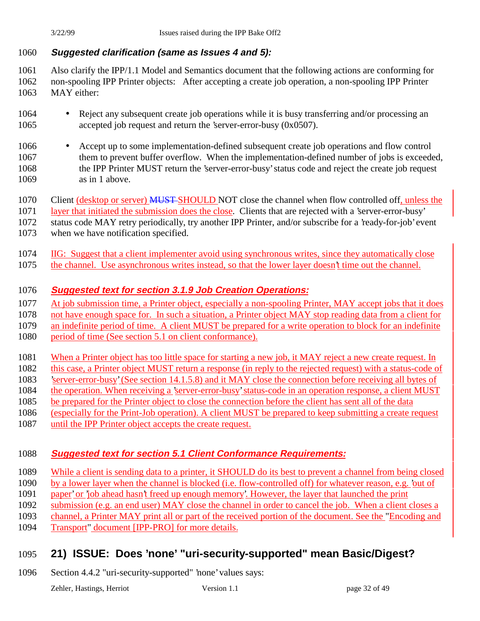#### **Suggested clarification (same as Issues 4 and 5):**

 Also clarify the IPP/1.1 Model and Semantics document that the following actions are conforming for non-spooling IPP Printer objects: After accepting a create job operation, a non-spooling IPP Printer MAY either:

- 1064 Reject any subsequent create job operations while it is busy transferring and/or processing an accepted job request and return the 'server-error-busy (0x0507).
- Accept up to some implementation-defined subsequent create job operations and flow control 1067 them to prevent buffer overflow. When the implementation-defined number of jobs is exceeded, the IPP Printer MUST return the 'server-error-busy' status code and reject the create job request as in 1 above.
- 1070 Client (desktop or server) MUST-SHOULD NOT close the channel when flow controlled off, unless the

layer that initiated the submission does the close. Clients that are rejected with a 'server-error-busy'

 status code MAY retry periodically, try another IPP Printer, and/or subscribe for a 'ready-for-job' event when we have notification specified.

- IIG: Suggest that a client implementer avoid using synchronous writes, since they automatically close
- the channel. Use asynchronous writes instead, so that the lower layer doesn't time out the channel.

#### **Suggested text for section 3.1.9 Job Creation Operations:**

At job submission time, a Printer object, especially a non-spooling Printer, MAY accept jobs that it does

not have enough space for. In such a situation, a Printer object MAY stop reading data from a client for

an indefinite period of time. A client MUST be prepared for a write operation to block for an indefinite

1080 period of time (See section 5.1 on client conformance).

1081 When a Printer object has too little space for starting a new job, it MAY reject a new create request. In

this case, a Printer object MUST return a response (in reply to the rejected request) with a status-code of

'server-error-busy' (See section 14.1.5.8) and it MAY close the connection before receiving all bytes of

- the operation. When receiving a 'server-error-busy' status-code in an operation response, a client MUST
- be prepared for the Printer object to close the connection before the client has sent all of the data
- (especially for the Print-Job operation). A client MUST be prepared to keep submitting a create request
- until the IPP Printer object accepts the create request.

#### **Suggested text for section 5.1 Client Conformance Requirements:**

While a client is sending data to a printer, it SHOULD do its best to prevent a channel from being closed

- by a lower layer when the channel is blocked (i.e. flow-controlled off) for whatever reason, e.g. 'out of
- paper' or 'job ahead hasn't freed up enough memory'. However, the layer that launched the print
- submission (e.g. an end user) MAY close the channel in order to cancel the job. When a client closes a
- channel, a Printer MAY print all or part of the received portion of the document. See the "Encoding and
- Transport" document [IPP-PRO] for more details.

## **21) ISSUE: Does 'none' "uri-security-supported" mean Basic/Digest?**

Section 4.4.2 "uri-security-supported" 'none' values says: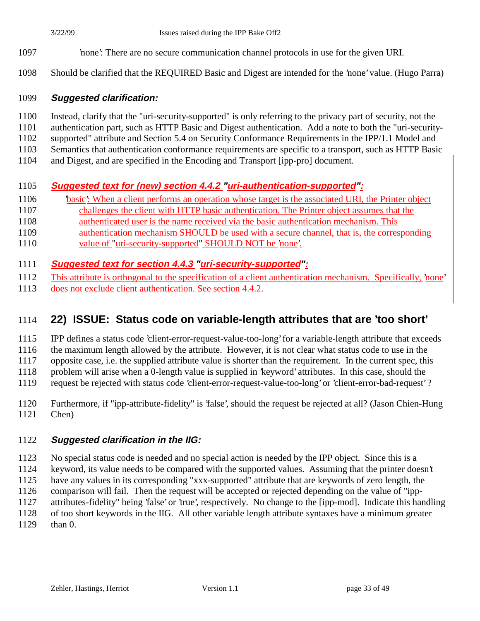- 'none': There are no secure communication channel protocols in use for the given URI.
- Should be clarified that the REQUIRED Basic and Digest are intended for the 'none' value. (Hugo Parra)

#### **Suggested clarification:**

- Instead, clarify that the "uri-security-supported" is only referring to the privacy part of security, not the
- authentication part, such as HTTP Basic and Digest authentication. Add a note to both the "uri-security-
- supported" attribute and Section 5.4 on Security Conformance Requirements in the IPP/1.1 Model and
- Semantics that authentication conformance requirements are specific to a transport, such as HTTP Basic
- and Digest, and are specified in the Encoding and Transport [ipp-pro] document.

## **Suggested text for (new) section 4.4.2 "uri-authentication-supported":**

- 'basic': When a client performs an operation whose target is the associated URI, the Printer object
- challenges the client with HTTP basic authentication. The Printer object assumes that the
- authenticated user is the name received via the basic authentication mechanism. This
- authentication mechanism SHOULD be used with a secure channel, that is, the corresponding
- value of "uri-security-supported" SHOULD NOT be 'none'.

## **Suggested text for section 4.4.3 "uri-security-supported":**

- This attribute is orthogonal to the specification of a client authentication mechanism. Specifically, 'none'
- does not exclude client authentication. See section 4.4.2.

## **22) ISSUE: Status code on variable-length attributes that are 'too short'**

IPP defines a status code 'client-error-request-value-too-long' for a variable-length attribute that exceeds

the maximum length allowed by the attribute. However, it is not clear what status code to use in the

opposite case, i.e. the supplied attribute value is shorter than the requirement. In the current spec, this

problem will arise when a 0-length value is supplied in 'keyword' attributes. In this case, should the

- request be rejected with status code 'client-error-request-value-too-long' or 'client-error-bad-request' ?
- Furthermore, if "ipp-attribute-fidelity" is 'false', should the request be rejected at all? (Jason Chien-Hung Chen)

## **Suggested clarification in the IIG:**

 No special status code is needed and no special action is needed by the IPP object. Since this is a keyword, its value needs to be compared with the supported values. Assuming that the printer doesn't have any values in its corresponding "xxx-supported" attribute that are keywords of zero length, the comparison will fail. Then the request will be accepted or rejected depending on the value of "ipp- attributes-fidelity" being 'false' or 'true', respectively. No change to the [ipp-mod]. Indicate this handling of too short keywords in the IIG. All other variable length attribute syntaxes have a minimum greater than 0.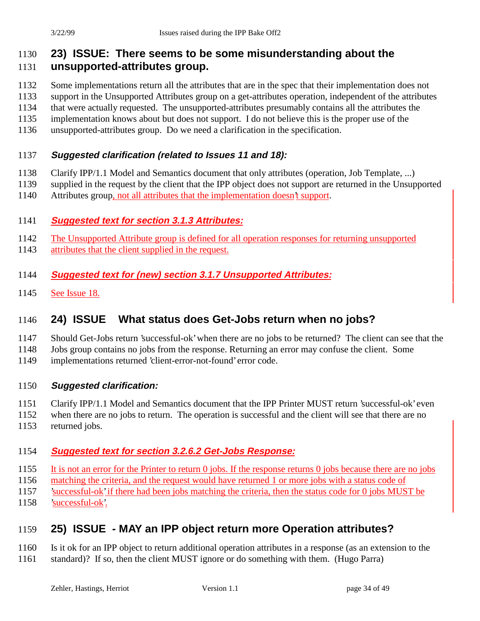# **23) ISSUE: There seems to be some misunderstanding about the**

## **unsupported-attributes group.**

- Some implementations return all the attributes that are in the spec that their implementation does not
- support in the Unsupported Attributes group on a get-attributes operation, independent of the attributes
- that were actually requested. The unsupported-attributes presumably contains all the attributes the
- implementation knows about but does not support. I do not believe this is the proper use of the
- unsupported-attributes group. Do we need a clarification in the specification.

## **Suggested clarification (related to Issues 11 and 18):**

- Clarify IPP/1.1 Model and Semantics document that only attributes (operation, Job Template, ...)
- supplied in the request by the client that the IPP object does not support are returned in the Unsupported
- Attributes group, not all attributes that the implementation doesn't support.

## **Suggested text for section 3.1.3 Attributes:**

- The Unsupported Attribute group is defined for all operation responses for returning unsupported
- attributes that the client supplied in the request.

## **Suggested text for (new) section 3.1.7 Unsupported Attributes:**

See Issue 18.

# **24) ISSUE What status does Get-Jobs return when no jobs?**

- Should Get-Jobs return 'successful-ok' when there are no jobs to be returned? The client can see that the
- Jobs group contains no jobs from the response. Returning an error may confuse the client. Some
- implementations returned 'client-error-not-found' error code.

## **Suggested clarification:**

- Clarify IPP/1.1 Model and Semantics document that the IPP Printer MUST return 'successful-ok' even
- when there are no jobs to return. The operation is successful and the client will see that there are no
- returned jobs.

## **Suggested text for section 3.2.6.2 Get-Jobs Response:**

- It is not an error for the Printer to return 0 jobs. If the response returns 0 jobs because there are no jobs
- matching the criteria, and the request would have returned 1 or more jobs with a status code of
- 'successful-ok' if there had been jobs matching the criteria, then the status code for 0 jobs MUST be
- 'successful-ok'.

# **25) ISSUE - MAY an IPP object return more Operation attributes?**

- Is it ok for an IPP object to return additional operation attributes in a response (as an extension to the
- standard)? If so, then the client MUST ignore or do something with them. (Hugo Parra)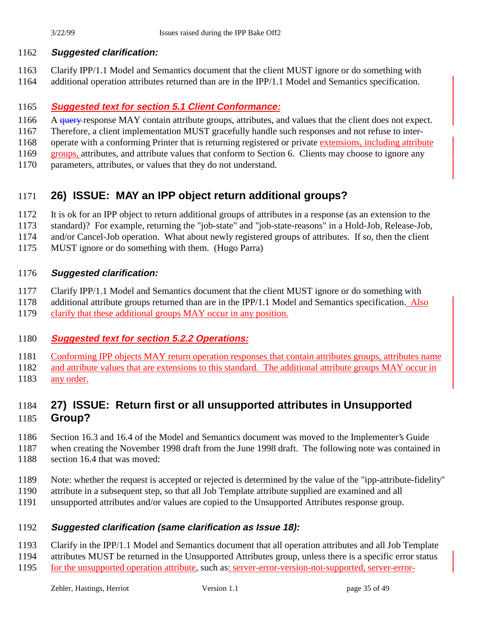#### **Suggested clarification:**

 Clarify IPP/1.1 Model and Semantics document that the client MUST ignore or do something with additional operation attributes returned than are in the IPP/1.1 Model and Semantics specification.

#### **Suggested text for section 5.1 Client Conformance:**

1166 A query response MAY contain attribute groups, attributes, and values that the client does not expect.

Therefore, a client implementation MUST gracefully handle such responses and not refuse to inter-

operate with a conforming Printer that is returning registered or private extensions, including attribute

- groups, attributes, and attribute values that conform to Section 6. Clients may choose to ignore any
- parameters, attributes, or values that they do not understand.

## **26) ISSUE: MAY an IPP object return additional groups?**

It is ok for an IPP object to return additional groups of attributes in a response (as an extension to the

- standard)? For example, returning the "job-state" and "job-state-reasons" in a Hold-Job, Release-Job,
- and/or Cancel-Job operation. What about newly registered groups of attributes. If so, then the client
- MUST ignore or do something with them. (Hugo Parra)

#### **Suggested clarification:**

Clarify IPP/1.1 Model and Semantics document that the client MUST ignore or do something with

- additional attribute groups returned than are in the IPP/1.1 Model and Semantics specification. Also
- clarify that these additional groups MAY occur in any position.

#### **Suggested text for section 5.2.2 Operations:**

Conforming IPP objects MAY return operation responses that contain attributes groups, attributes name

and attribute values that are extensions to this standard. The additional attribute groups MAY occur in

any order.

## **27) ISSUE: Return first or all unsupported attributes in Unsupported Group?**

Section 16.3 and 16.4 of the Model and Semantics document was moved to the Implementer's Guide

- when creating the November 1998 draft from the June 1998 draft. The following note was contained in section 16.4 that was moved:
- Note: whether the request is accepted or rejected is determined by the value of the "ipp-attribute-fidelity"
- attribute in a subsequent step, so that all Job Template attribute supplied are examined and all
- unsupported attributes and/or values are copied to the Unsupported Attributes response group.

#### **Suggested clarification (same clarification as Issue 18):**

Clarify in the IPP/1.1 Model and Semantics document that all operation attributes and all Job Template

- attributes MUST be returned in the Unsupported Attributes group, unless there is a specific error status
- for the unsupported operation attribute, such as: server-error-version-not-supported, server-error-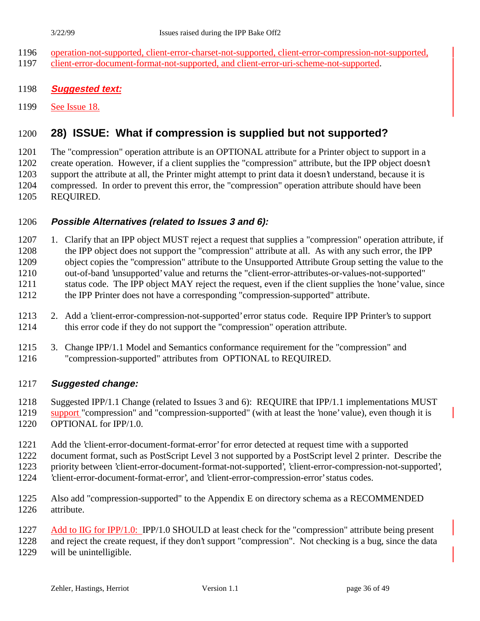- operation-not-supported, client-error-charset-not-supported, client-error-compression-not-supported, client-error-document-format-not-supported, and client-error-uri-scheme-not-supported.
- 
- **Suggested text:**
- See Issue 18.

## **28) ISSUE: What if compression is supplied but not supported?**

 The "compression" operation attribute is an OPTIONAL attribute for a Printer object to support in a create operation. However, if a client supplies the "compression" attribute, but the IPP object doesn't support the attribute at all, the Printer might attempt to print data it doesn't understand, because it is compressed. In order to prevent this error, the "compression" operation attribute should have been REQUIRED.

#### **Possible Alternatives (related to Issues 3 and 6):**

 1. Clarify that an IPP object MUST reject a request that supplies a "compression" operation attribute, if the IPP object does not support the "compression" attribute at all. As with any such error, the IPP object copies the "compression" attribute to the Unsupported Attribute Group setting the value to the out-of-band 'unsupported' value and returns the "client-error-attributes-or-values-not-supported" status code. The IPP object MAY reject the request, even if the client supplies the 'none' value, since the IPP Printer does not have a corresponding "compression-supported" attribute.

- 2. Add a 'client-error-compression-not-supported' error status code. Require IPP Printer's to support this error code if they do not support the "compression" operation attribute.
- 3. Change IPP/1.1 Model and Semantics conformance requirement for the "compression" and "compression-supported" attributes from OPTIONAL to REQUIRED.

#### **Suggested change:**

Suggested IPP/1.1 Change (related to Issues 3 and 6): REQUIRE that IPP/1.1 implementations MUST

support "compression" and "compression-supported" (with at least the 'none' value), even though it is

- OPTIONAL for IPP/1.0.
- Add the 'client-error-document-format-error' for error detected at request time with a supported
- document format, such as PostScript Level 3 not supported by a PostScript level 2 printer. Describe the
- priority between 'client-error-document-format-not-supported', 'client-error-compression-not-supported',
- 'client-error-document-format-error', and 'client-error-compression-error' status codes.
- Also add "compression-supported" to the Appendix E on directory schema as a RECOMMENDED attribute.
- Add to IIG for IPP/1.0: IPP/1.0 SHOULD at least check for the "compression" attribute being present

and reject the create request, if they don't support "compression". Not checking is a bug, since the data

will be unintelligible.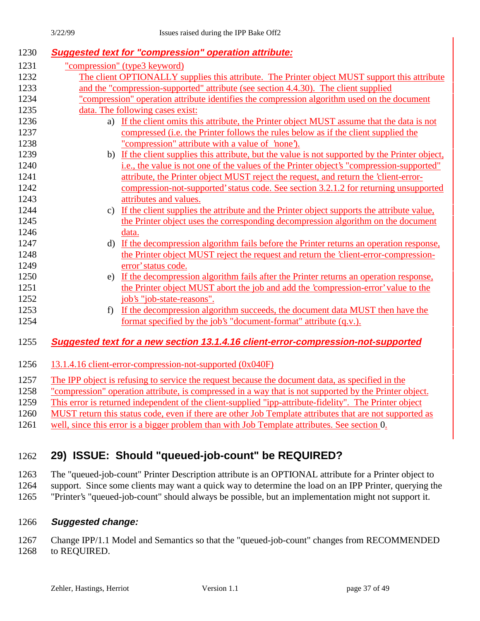| 1230 |                                                                                             | <b>Suggested text for "compression" operation attribute:</b>                                           |  |
|------|---------------------------------------------------------------------------------------------|--------------------------------------------------------------------------------------------------------|--|
| 1231 |                                                                                             | "compression" (type3 keyword)                                                                          |  |
| 1232 |                                                                                             | The client OPTIONALLY supplies this attribute. The Printer object MUST support this attribute          |  |
| 1233 |                                                                                             | and the "compression-supported" attribute (see section 4.4.30). The client supplied                    |  |
| 1234 | "compression" operation attribute identifies the compression algorithm used on the document |                                                                                                        |  |
| 1235 |                                                                                             | data. The following cases exist:                                                                       |  |
| 1236 | a)                                                                                          | If the client omits this attribute, the Printer object MUST assume that the data is not                |  |
| 1237 |                                                                                             | compressed ( <i>i.e. the Printer follows the rules below as if the client supplied the</i>             |  |
| 1238 |                                                                                             | "compression" attribute with a value of 'none').                                                       |  |
| 1239 | b)                                                                                          | If the client supplies this attribute, but the value is not supported by the Printer object,           |  |
| 1240 |                                                                                             | i.e., the value is not one of the values of the Printer object's "compression-supported"               |  |
| 1241 |                                                                                             | attribute, the Printer object MUST reject the request, and return the 'client-error-                   |  |
| 1242 |                                                                                             | compression-not-supported' status code. See section 3.2.1.2 for returning unsupported                  |  |
| 1243 |                                                                                             | attributes and values.                                                                                 |  |
| 1244 | $\mathbf{c}$                                                                                | If the client supplies the attribute and the Printer object supports the attribute value,              |  |
| 1245 |                                                                                             | the Printer object uses the corresponding decompression algorithm on the document                      |  |
| 1246 |                                                                                             | data.                                                                                                  |  |
| 1247 | d)                                                                                          | If the decompression algorithm fails before the Printer returns an operation response,                 |  |
| 1248 |                                                                                             | the Printer object MUST reject the request and return the 'client-error-compression-                   |  |
| 1249 |                                                                                             | error' status code.                                                                                    |  |
| 1250 | e)                                                                                          | If the decompression algorithm fails after the Printer returns an operation response,                  |  |
| 1251 |                                                                                             | the Printer object MUST abort the job and add the 'compression-error' value to the                     |  |
| 1252 |                                                                                             | job's "job-state-reasons".                                                                             |  |
| 1253 | f                                                                                           | If the decompression algorithm succeeds, the document data MUST then have the                          |  |
| 1254 |                                                                                             | format specified by the job's "document-format" attribute (q.v.).                                      |  |
| 1255 |                                                                                             | Suggested text for a new section 13.1.4.16 client-error-compression-not-supported                      |  |
|      |                                                                                             |                                                                                                        |  |
| 1256 |                                                                                             | 13.1.4.16 client-error-compression-not-supported (0x040F)                                              |  |
| 1257 |                                                                                             | The IPP object is refusing to service the request because the document data, as specified in the       |  |
| 1258 |                                                                                             | "compression" operation attribute, is compressed in a way that is not supported by the Printer object. |  |

1259 This error is returned independent of the client-supplied "ipp-attribute-fidelity". The Printer object

1260 MUST return this status code, even if there are other Job Template attributes that are not supported as

1261 well, since this error is a bigger problem than with Job Template attributes. See section 0.

## 1262 **29) ISSUE: Should "queued-job-count" be REQUIRED?**

1263 The "queued-job-count" Printer Description attribute is an OPTIONAL attribute for a Printer object to 1264 support. Since some clients may want a quick way to determine the load on an IPP Printer, querying the

1265 "Printer's "queued-job-count" should always be possible, but an implementation might not support it.

#### 1266 **Suggested change:**

1267 Change IPP/1.1 Model and Semantics so that the "queued-job-count" changes from RECOMMENDED 1268 to REQUIRED.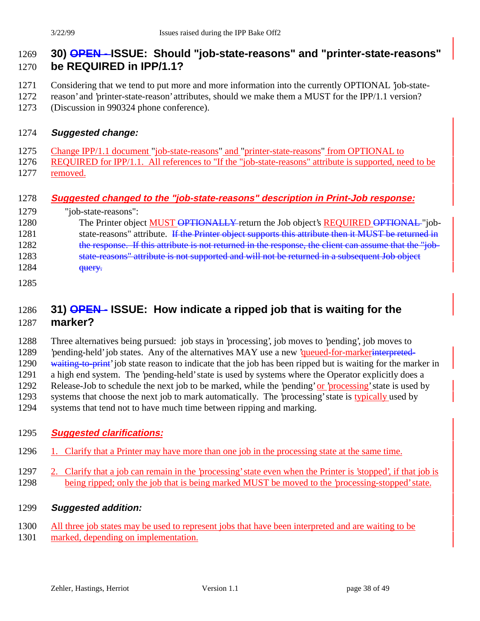## **30) OPEN - ISSUE: Should "job-state-reasons" and "printer-state-reasons" be REQUIRED in IPP/1.1?**

- Considering that we tend to put more and more information into the currently OPTIONAL 'job-state-
- reason' and 'printer-state-reason' attributes, should we make them a MUST for the IPP/1.1 version?
- (Discussion in 990324 phone conference).

#### **Suggested change:**

- Change IPP/1.1 document "job-state-reasons" and "printer-state-reasons" from OPTIONAL to
- 1276 REQUIRED for IPP/1.1. All references to "If the "job-state-reasons" attribute is supported, need to be removed.

#### **Suggested changed to the "job-state-reasons" description in Print-Job response:**

- "job-state-reasons": 1280 The Printer object MUST OPTIONALLY return the Job object's REQUIRED OPTIONAL "job-1281 state-reasons" attribute. If the Printer object supports this attribute then it MUST be returned in 1282 the response. If this attribute is not returned in the response, the client can assume that the "job-1283 state-reasons" attribute is not supported and will not be returned in a subsequent Job object **query.**
- 

## **31) OPEN - ISSUE: How indicate a ripped job that is waiting for the marker?**

 Three alternatives being pursued: job stays in 'processing', job moves to 'pending', job moves to 1289 'pending-held' job states. Any of the alternatives MAY use a new 'queued-for-markerinterpreted-1290 waiting-to-print' job state reason to indicate that the job has been ripped but is waiting for the marker in a high end system. The 'pending-held' state is used by systems where the Operator explicitly does a 1292 Release-Job to schedule the next job to be marked, while the 'pending' or 'processing' state is used by systems that choose the next job to mark automatically. The 'processing' state is typically used by systems that tend not to have much time between ripping and marking.

#### **Suggested clarifications:**

- 1296 1. Clarify that a Printer may have more than one job in the processing state at the same time.
- 2. Clarify that a job can remain in the 'processing' state even when the Printer is 'stopped', if that job is 1298 being ripped; only the job that is being marked MUST be moved to the 'processing-stopped' state.
- **Suggested addition:**
- All three job states may be used to represent jobs that have been interpreted and are waiting to be
- marked, depending on implementation.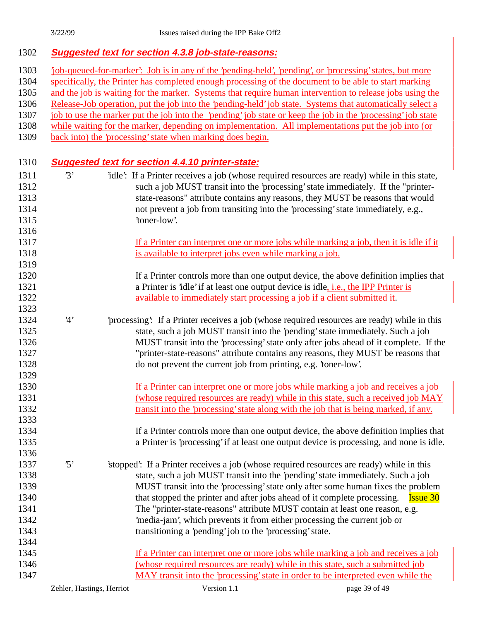#### **Suggested text for section 4.3.8 job-state-reasons:**

- 'job-queued-for-marker': Job is in any of the 'pending-held', 'pending', or 'processing' states, but more
- 1304 specifically, the Printer has completed enough processing of the document to be able to start marking
- and the job is waiting for the marker. Systems that require human intervention to release jobs using the
- Release-Job operation, put the job into the 'pending-held' job state. Systems that automatically select a
- job to use the marker put the job into the 'pending'job state or keep the job in the 'processing' job state
- while waiting for the marker, depending on implementation. All implementations put the job into (or
- back into) the 'processing' state when marking does begin.

#### **Suggested text for section 4.4.10 printer-state:**

- 1311 <sup>3</sup> <sup>3</sup> <sup>2</sup>idle<sup>2</sup>: If a Printer receives a job (whose required resources are ready) while in this state, such a job MUST transit into the 'processing' state immediately. If the "printer- state-reasons" attribute contains any reasons, they MUST be reasons that would not prevent a job from transiting into the 'processing' state immediately, e.g., **'toner-low'.**
- If a Printer can interpret one or more jobs while marking a job, then it is idle if it is available to interpret jobs even while marking a job.
- 1320 If a Printer controls more than one output device, the above definition implies that 1321 a Printer is 'idle' if at least one output device is idle, *i.e.*, the IPP Printer is available to immediately start processing a job if a client submitted it.
- '4' 'processing': If a Printer receives a job (whose required resources are ready) while in this state, such a job MUST transit into the 'pending' state immediately. Such a job MUST transit into the 'processing' state only after jobs ahead of it complete. If the "printer-state-reasons" attribute contains any reasons, they MUST be reasons that do not prevent the current job from printing, e.g. 'toner-low'.
- If a Printer can interpret one or more jobs while marking a job and receives a job (whose required resources are ready) while in this state, such a received job MAY transit into the 'processing' state along with the job that is being marked, if any.
- If a Printer controls more than one output device, the above definition implies that a Printer is 'processing' if at least one output device is processing, and none is idle.
- '5' 'stopped': If a Printer receives a job (whose required resources are ready) while in this state, such a job MUST transit into the 'pending' state immediately. Such a job MUST transit into the 'processing' state only after some human fixes the problem 1340 that stopped the printer and after jobs ahead of it complete processing. **Issue 30**  The "printer-state-reasons" attribute MUST contain at least one reason, e.g. 'media-jam', which prevents it from either processing the current job or transitioning a 'pending' job to the 'processing' state.
- If a Printer can interpret one or more jobs while marking a job and receives a job (whose required resources are ready) while in this state, such a submitted job MAY transit into the 'processing' state in order to be interpreted even while the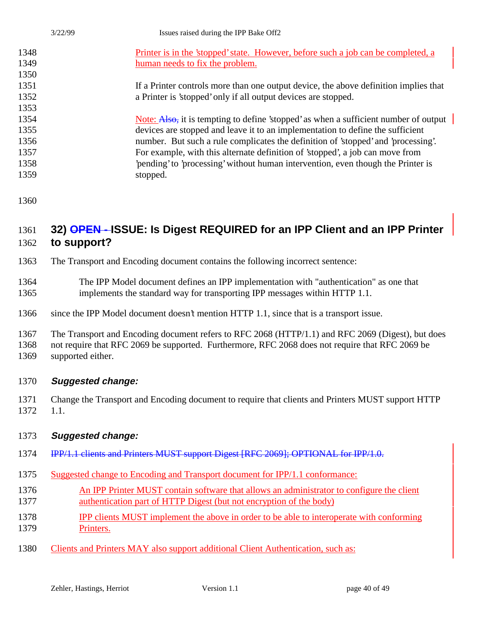| 3/22/99 | Issues raised during the IPP Bake Off2                                               |
|---------|--------------------------------------------------------------------------------------|
| 1348    | Printer is in the 'stopped' state. However, before such a job can be completed, a    |
| 1349    | human needs to fix the problem.                                                      |
| 1350    |                                                                                      |
| 1351    | If a Printer controls more than one output device, the above definition implies that |
| 1352    | a Printer is 'stopped' only if all output devices are stopped.                       |
| 1353    |                                                                                      |
| 1354    | Note: Also, it is tempting to define 'stopped' as when a sufficient number of output |
| 1355    | devices are stopped and leave it to an implementation to define the sufficient       |
| 1356    | number. But such a rule complicates the definition of 'stopped' and 'processing'.    |
| 1357    | For example, with this alternate definition of 'stopped', a job can move from        |
| 1358    | pending to processing without human intervention, even though the Printer is         |
| 1359    | stopped.                                                                             |

## **32) OPEN - ISSUE: Is Digest REQUIRED for an IPP Client and an IPP Printer to support?**

- The Transport and Encoding document contains the following incorrect sentence:
- The IPP Model document defines an IPP implementation with "authentication" as one that implements the standard way for transporting IPP messages within HTTP 1.1.
- since the IPP Model document doesn't mention HTTP 1.1, since that is a transport issue.

The Transport and Encoding document refers to RFC 2068 (HTTP/1.1) and RFC 2069 (Digest), but does

 not require that RFC 2069 be supported. Furthermore, RFC 2068 does not require that RFC 2069 be supported either.

#### **Suggested change:**

 Change the Transport and Encoding document to require that clients and Printers MUST support HTTP 1.1.

#### **Suggested change:**

- 1374 IPP/1.1 clients and Printers MUST support Digest [RFC 2069]; OPTIONAL for IPP/1.0.
- Suggested change to Encoding and Transport document for IPP/1.1 conformance:
- An IPP Printer MUST contain software that allows an administrator to configure the client authentication part of HTTP Digest (but not encryption of the body)
- IPP clients MUST implement the above in order to be able to interoperate with conforming Printers.
- Clients and Printers MAY also support additional Client Authentication, such as: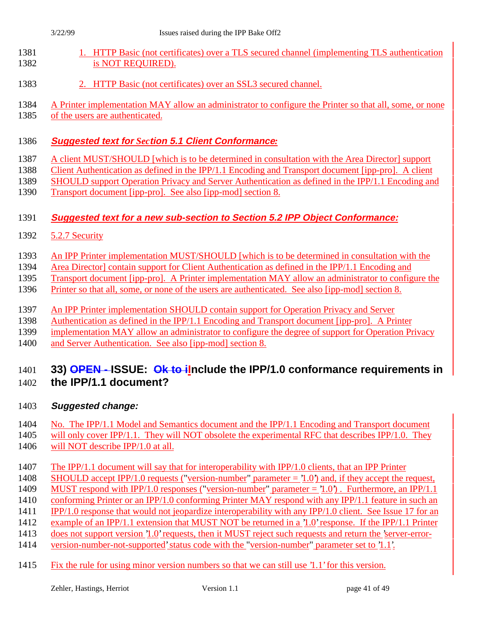| п |  |
|---|--|
|   |  |

- 1381 1. HTTP Basic (not certificates) over a TLS secured channel (implementing TLS authentication 1382 is NOT REQUIRED).
- 2. HTTP Basic (not certificates) over an SSL3 secured channel.
- A Printer implementation MAY allow an administrator to configure the Printer so that all, some, or none
- of the users are authenticated.

#### **Suggested text for** *Sec***tion 5.1 Client Conformance***:*

A client MUST/SHOULD [which is to be determined in consultation with the Area Director] support

- Client Authentication as defined in the IPP/1.1 Encoding and Transport document [ipp-pro]. A client
- SHOULD support Operation Privacy and Server Authentication as defined in the IPP/1.1 Encoding and
- Transport document [ipp-pro]. See also [ipp-mod] section 8.

## **Suggested text for a new sub-section to Section 5.2 IPP Object Conformance:**

- 5.2.7 Security
- An IPP Printer implementation MUST/SHOULD [which is to be determined in consultation with the
- Area Director] contain support for Client Authentication as defined in the IPP/1.1 Encoding and
- Transport document [ipp-pro]. A Printer implementation MAY allow an administrator to configure the
- Printer so that all, some, or none of the users are authenticated. See also [ipp-mod] section 8.
- An IPP Printer implementation SHOULD contain support for Operation Privacy and Server
- Authentication as defined in the IPP/1.1 Encoding and Transport document [ipp-pro]. A Printer
- implementation MAY allow an administrator to configure the degree of support for Operation Privacy
- and Server Authentication. See also [ipp-mod] section 8.

# **33) OPEN - ISSUE: Ok to iInclude the IPP/1.0 conformance requirements in**

**the IPP/1.1 document?**

## **Suggested change:**

## 1404 No. The IPP/1.1 Model and Semantics document and the IPP/1.1 Encoding and Transport document

1405 will only cover IPP/1.1. They will NOT obsolete the experimental RFC that describes IPP/1.0. They will NOT describe IPP/1.0 at all.

- The IPP/1.1 document will say that for interoperability with IPP/1.0 clients, that an IPP Printer
- SHOULD accept IPP/1.0 requests ("version-number" parameter = '1.0') and, if they accept the request,
- MUST respond with IPP/1.0 responses ("version-number" parameter = '1.0') . Furthermore, an IPP/1.1
- conforming Printer or an IPP/1.0 conforming Printer MAY respond with any IPP/1.1 feature in such an
- IPP/1.0 response that would not jeopardize interoperability with any IPP/1.0 client. See Issue 17 for an
- example of an IPP/1.1 extension that MUST NOT be returned in a '1.0' response. If the IPP/1.1 Printer
- does not support version '1.0' requests, then it MUST reject such requests and return the 'server-error-version-number-not-supported' status code with the "version-number" parameter set to '1.1'.
- 
- Fix the rule for using minor version numbers so that we can still use '1.1' for this version.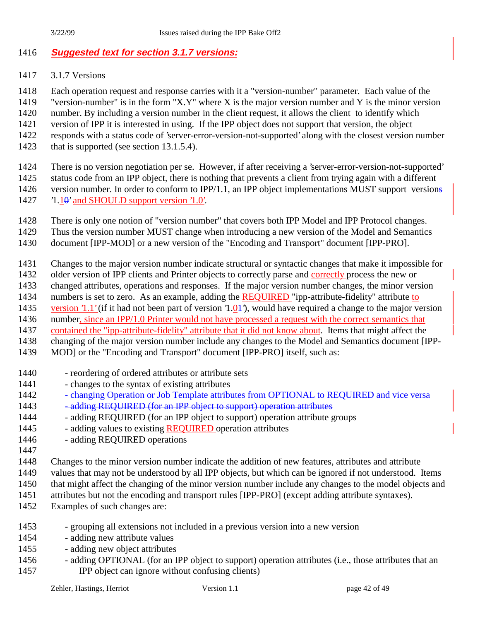## **Suggested text for section 3.1.7 versions:**

3.1.7 Versions

Each operation request and response carries with it a "version-number" parameter. Each value of the

"version-number" is in the form "X.Y" where X is the major version number and Y is the minor version

number. By including a version number in the client request, it allows the client to identify which

- version of IPP it is interested in using. If the IPP object does not support that version, the object
- responds with a status code of 'server-error-version-not-supported' along with the closest version number
- 1423 that is supported (see section 13.1.5.4).
- There is no version negotiation per se. However, if after receiving a 'server-error-version-not-supported' status code from an IPP object, there is nothing that prevents a client from trying again with a different
- 1426 version number. In order to conform to IPP/1.1, an IPP object implementations MUST support versions
- '1.10' and SHOULD support version '1.0'.
- There is only one notion of "version number" that covers both IPP Model and IPP Protocol changes.
- Thus the version number MUST change when introducing a new version of the Model and Semantics
- document [IPP-MOD] or a new version of the "Encoding and Transport" document [IPP-PRO].
- Changes to the major version number indicate structural or syntactic changes that make it impossible for
- older version of IPP clients and Printer objects to correctly parse and correctly process the new or
- changed attributes, operations and responses. If the major version number changes, the minor version
- 1434 numbers is set to zero. As an example, adding the **REQUIRED** "ipp-attribute-fidelity" attribute to
- 1435 version '1.1' (if it had not been part of version '1.04'), would have required a change to the major version
- number, since an IPP/1.0 Printer would not have processed a request with the correct semantics that
- contained the "ipp-attribute-fidelity" attribute that it did not know about. Items that might affect the
- changing of the major version number include any changes to the Model and Semantics document [IPP-
- MOD] or the "Encoding and Transport" document [IPP-PRO] itself, such as:
- reordering of ordered attributes or attribute sets
- changes to the syntax of existing attributes
- 1442 changing Operation or Job Template attributes from OPTIONAL to REQUIRED and vice versa
- 1443 adding REQUIRED (for an IPP object to support) operation attributes
- 1444 adding REQUIRED (for an IPP object to support) operation attribute groups
- 1445 adding values to existing REQUIRED operation attributes
- adding REQUIRED operations
- 
- Changes to the minor version number indicate the addition of new features, attributes and attribute
- values that may not be understood by all IPP objects, but which can be ignored if not understood. Items
- that might affect the changing of the minor version number include any changes to the model objects and
- 1451 attributes but not the encoding and transport rules [IPP-PRO] (except adding attribute syntaxes).
- Examples of such changes are:
- grouping all extensions not included in a previous version into a new version
- adding new attribute values
- adding new object attributes
- adding OPTIONAL (for an IPP object to support) operation attributes (i.e., those attributes that an IPP object can ignore without confusing clients)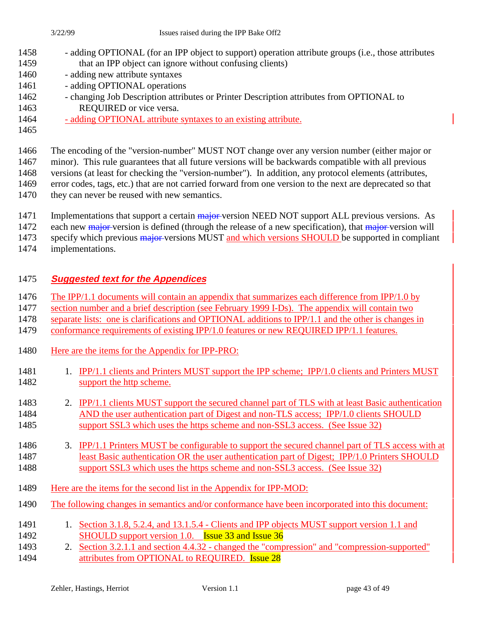The encoding of the "version-number" MUST NOT change over any version number (either major or

minor). This rule guarantees that all future versions will be backwards compatible with all previous

- versions (at least for checking the "version-number"). In addition, any protocol elements (attributes,
- error codes, tags, etc.) that are not carried forward from one version to the next are deprecated so that
- they can never be reused with new semantics.
- 1471 Implementations that support a certain major version NEED NOT support ALL previous versions. As
- 1472 each new major version is defined (through the release of a new specification), that major version will

1473 specify which previous major versions MUST and which versions SHOULD be supported in compliant

implementations.

## **Suggested text for the Appendices**

1476 The IPP/1.1 documents will contain an appendix that summarizes each difference from IPP/1.0 by

section number and a brief description (see February 1999 I-Ds). The appendix will contain two

separate lists: one is clarifications and OPTIONAL additions to IPP/1.1 and the other is changes in

conformance requirements of existing IPP/1.0 features or new REQUIRED IPP/1.1 features.

- Here are the items for the Appendix for IPP-PRO:
- 1481 1. IPP/1.1 clients and Printers MUST support the IPP scheme; IPP/1.0 clients and Printers MUST 1482 support the http scheme.
- 2. IPP/1.1 clients MUST support the secured channel part of TLS with at least Basic authentication AND the user authentication part of Digest and non-TLS access; IPP/1.0 clients SHOULD support SSL3 which uses the https scheme and non-SSL3 access. (See Issue 32)
- 3. IPP/1.1 Printers MUST be configurable to support the secured channel part of TLS access with at least Basic authentication OR the user authentication part of Digest; IPP/1.0 Printers SHOULD support SSL3 which uses the https scheme and non-SSL3 access. (See Issue 32)
- Here are the items for the second list in the Appendix for IPP-MOD:
- The following changes in semantics and/or conformance have been incorporated into this document:
- 1491 1. Section 3.1.8, 5.2.4, and 13.1.5.4 Clients and IPP objects MUST support version 1.1 and **SHOULD** support version 1.0. **Issue 33 and Issue 36**
- 2. Section 3.2.1.1 and section 4.4.32 changed the "compression" and "compression-supported" **attributes from OPTIONAL to REQUIRED.** Issue 28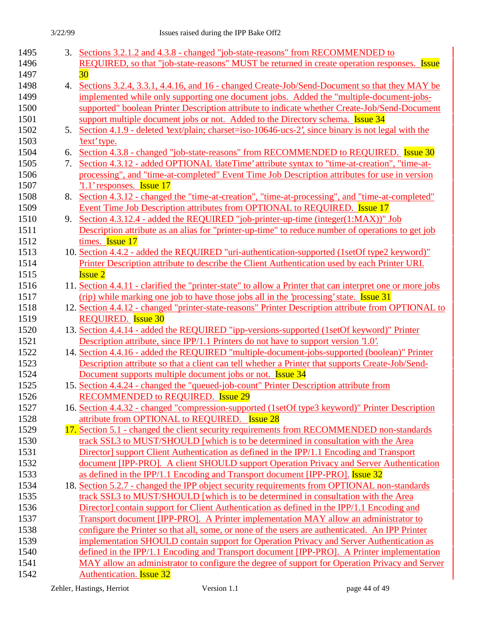| 1495 |    | 3. Sections 3.2.1.2 and 4.3.8 - changed "job-state-reasons" from RECOMMENDED to                           |
|------|----|-----------------------------------------------------------------------------------------------------------|
| 1496 |    | REQUIRED, so that "job-state-reasons" MUST be returned in create operation responses. Issue               |
| 1497 |    | 30                                                                                                        |
| 1498 |    | 4. Sections 3.2.4, 3.3.1, 4.4.16, and 16 - changed Create-Job/Send-Document so that they MAY be           |
| 1499 |    | implemented while only supporting one document jobs. Added the "multiple-document-jobs-                   |
| 1500 |    | supported" boolean Printer Description attribute to indicate whether Create-Job/Send-Document             |
| 1501 |    | support multiple document jobs or not. Added to the Directory schema. <b>Issue 34</b>                     |
| 1502 | 5. | Section 4.1.9 - deleted 'text/plain; charget=iso-10646-ucs-2', since binary is not legal with the         |
| 1503 |    | text' type.                                                                                               |
| 1504 | 6. | Section 4.3.8 - changed "job-state-reasons" from RECOMMENDED to REQUIRED. Issue 30                        |
| 1505 | 7. | Section 4.3.12 - added OPTIONAL 'dateTime' attribute syntax to "time-at-creation", "time-at-              |
| 1506 |    | processing", and "time-at-completed" Event Time Job Description attributes for use in version             |
| 1507 |    | '1.1' responses. Issue 17                                                                                 |
| 1508 |    | 8. Section 4.3.12 - changed the "time-at-creation", "time-at-processing", and "time-at-completed"         |
| 1509 |    | Event Time Job Description attributes from OPTIONAL to REQUIRED. Issue 17                                 |
| 1510 | 9. | Section 4.3.12.4 - added the REQUIRED "job-printer-up-time (integer(1:MAX))" Job                          |
| 1511 |    | Description attribute as an alias for "printer-up-time" to reduce number of operations to get job         |
| 1512 |    | times. Issue 17                                                                                           |
| 1513 |    | 10. Section 4.4.2 - added the REQUIRED "uri-authentication-supported (1setOf type2 keyword)"              |
| 1514 |    | Printer Description attribute to describe the Client Authentication used by each Printer URI.             |
| 1515 |    | <b>Issue 2</b>                                                                                            |
| 1516 |    | 11. Section 4.4.11 - clarified the "printer-state" to allow a Printer that can interpret one or more jobs |
| 1517 |    | (rip) while marking one job to have those jobs all in the 'processing' state. <b>Issue 31</b>             |
| 1518 |    | 12. Section 4.4.12 - changed "printer-state-reasons" Printer Description attribute from OPTIONAL to       |
| 1519 |    | <b>REQUIRED.</b> Issue 30                                                                                 |
| 1520 |    | 13. Section 4.4.14 - added the REQUIRED "ipp-versions-supported (1setOf keyword)" Printer                 |
| 1521 |    | Description attribute, since IPP/1.1 Printers do not have to support version '1.0'.                       |
| 1522 |    | 14. Section 4.4.16 - added the REQUIRED "multiple-document-jobs-supported (boolean)" Printer              |
| 1523 |    | Description attribute so that a client can tell whether a Printer that supports Create-Job/Send-          |
| 1524 |    | Document supports multiple document jobs or not. Issue 34                                                 |
| 1525 |    | 15. Section 4.4.24 - changed the "queued-job-count" Printer Description attribute from                    |
| 1526 |    | <b>RECOMMENDED to REQUIRED. Issue 29</b>                                                                  |
| 1527 |    | 16. Section 4.4.32 - changed "compression-supported (1setOf type3 keyword)" Printer Description           |
| 1528 |    | attribute from OPTIONAL to REQUIRED. Issue 28                                                             |
| 1529 |    | 17. Section 5.1 - changed the client security requirements from RECOMMENDED non-standards                 |
| 1530 |    | track SSL3 to MUST/SHOULD [which is to be determined in consultation with the Area                        |
| 1531 |    | Director] support Client Authentication as defined in the IPP/1.1 Encoding and Transport                  |
| 1532 |    | document [IPP-PRO]. A client SHOULD support Operation Privacy and Server Authentication                   |
| 1533 |    | as defined in the IPP/1.1 Encoding and Transport document [IPP-PRO]. Issue 32                             |
| 1534 |    | 18. Section 5.2.7 - changed the IPP object security requirements from OPTIONAL non-standards              |
| 1535 |    | track SSL3 to MUST/SHOULD [which is to be determined in consultation with the Area                        |
| 1536 |    | Director] contain support for Client Authentication as defined in the IPP/1.1 Encoding and                |
| 1537 |    | Transport document [IPP-PRO]. A Printer implementation MAY allow an administrator to                      |
| 1538 |    | configure the Printer so that all, some, or none of the users are authenticated. An IPP Printer           |
| 1539 |    | implementation SHOULD contain support for Operation Privacy and Server Authentication as                  |
| 1540 |    | defined in the IPP/1.1 Encoding and Transport document [IPP-PRO]. A Printer implementation                |
| 1541 |    | MAY allow an administrator to configure the degree of support for Operation Privacy and Server            |
| 1542 |    | Authentication. <b>Issue 32</b>                                                                           |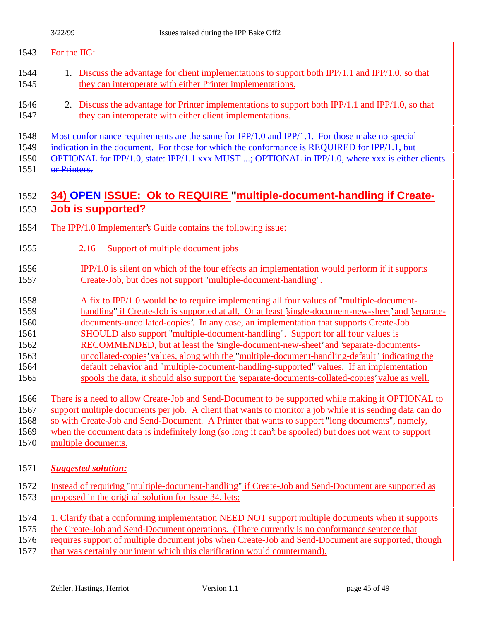## For the IIG:

- 1. Discuss the advantage for client implementations to support both IPP/1.1 and IPP/1.0, so that they can interoperate with either Printer implementations.
- 2. Discuss the advantage for Printer implementations to support both IPP/1.1 and IPP/1.0, so that 1547 they can interoperate with either client implementations.
- 1548 Most conformance requirements are the same for IPP/1.0 and IPP/1.1. For those make no special
- 1549 indication in the document. For those for which the conformance is REQUIRED for IPP/1.1, but

OPTIONAL for IPP/1.0, state: IPP/1.1 xxx MUST ...; OPTIONAL in IPP/1.0, where xxx is either clients

or Printers.

## **34) OPEN ISSUE: Ok to REQUIRE "multiple-document-handling if Create-Job is supported?**

- The IPP/1.0 Implementer's Guide contains the following issue:
- 2.16 Support of multiple document jobs
- IPP/1.0 is silent on which of the four effects an implementation would perform if it supports Create-Job, but does not support "multiple-document-handling".
- 1558 A fix to IPP/1.0 would be to require implementing all four values of "multiple-document-
- handling" if Create-Job is supported at all. Or at least 'single-document-new-sheet' and 'separate-
- documents-uncollated-copies'. In any case, an implementation that supports Create-Job
- SHOULD also support "multiple-document-handling". Support for all four values is
- RECOMMENDED, but at least the 'single-document-new-sheet' and 'separate-documents-
- uncollated-copies' values, along with the "multiple-document-handling-default" indicating the
- default behavior and "multiple-document-handling-supported" values. If an implementation spools the data, it should also support the 'separate-documents-collated-copies' value as well.
- There is a need to allow Create-Job and Send-Document to be supported while making it OPTIONAL to
- support multiple documents per job. A client that wants to monitor a job while it is sending data can do
- so with Create-Job and Send-Document. A Printer that wants to support "long documents", namely,
- when the document data is indefinitely long (so long it can't be spooled) but does not want to support
- multiple documents.
- *Suggested solution:*
- Instead of requiring "multiple-document-handling" if Create-Job and Send-Document are supported as proposed in the original solution for Issue 34, lets:
- 1. Clarify that a conforming implementation NEED NOT support multiple documents when it supports
- the Create-Job and Send-Document operations. (There currently is no conformance sentence that
- requires support of multiple document jobs when Create-Job and Send-Document are supported, though
- that was certainly our intent which this clarification would countermand).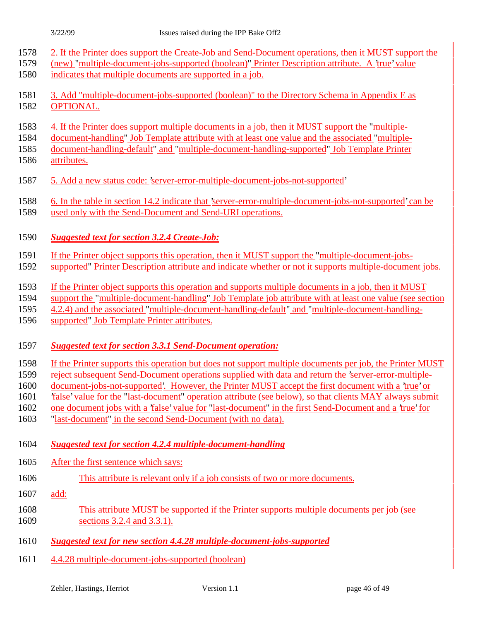- 2. If the Printer does support the Create-Job and Send-Document operations, then it MUST support the
- (new) "multiple-document-jobs-supported (boolean)" Printer Description attribute. A 'true' value
- indicates that multiple documents are supported in a job.
- 3. Add "multiple-document-jobs-supported (boolean)" to the Directory Schema in Appendix E as OPTIONAL.
- 4. If the Printer does support multiple documents in a job, then it MUST support the "multiple-
- document-handling" Job Template attribute with at least one value and the associated "multiple-
- document-handling-default" and "multiple-document-handling-supported" Job Template Printer attributes.
- 5. Add a new status code: 'server-error-multiple-document-jobs-not-supported'
- 6. In the table in section 14.2 indicate that 'server-error-multiple-document-jobs-not-supported' can be
- used only with the Send-Document and Send-URI operations.
- *Suggested text for section 3.2.4 Create-Job:*
- If the Printer object supports this operation, then it MUST support the "multiple-document-jobs-
- supported" Printer Description attribute and indicate whether or not it supports multiple-document jobs.
- If the Printer object supports this operation and supports multiple documents in a job, then it MUST
- support the "multiple-document-handling" Job Template job attribute with at least one value (see section
- 4.2.4) and the associated "multiple-document-handling-default" and "multiple-document-handling-
- supported" Job Template Printer attributes.

## *Suggested text for section 3.3.1 Send-Document operation:*

- If the Printer supports this operation but does not support multiple documents per job, the Printer MUST
- reject subsequent Send-Document operations supplied with data and return the 'server-error-multiple-
- document-jobs-not-supported'. However, the Printer MUST accept the first document with a 'true' or
- 'false' value for the "last-document" operation attribute (see below), so that clients MAY always submit
- one document jobs with a 'false' value for "last-document" in the first Send-Document and a 'true' for
- "last-document" in the second Send-Document (with no data).
- *Suggested text for section 4.2.4 multiple-document-handling*
- After the first sentence which says:
- This attribute is relevant only if a job consists of two or more documents.
- add:
- This attribute MUST be supported if the Printer supports multiple documents per job (see sections 3.2.4 and 3.3.1).
- *Suggested text for new section 4.4.28 multiple-document-jobs-supported*
- 4.4.28 multiple-document-jobs-supported (boolean)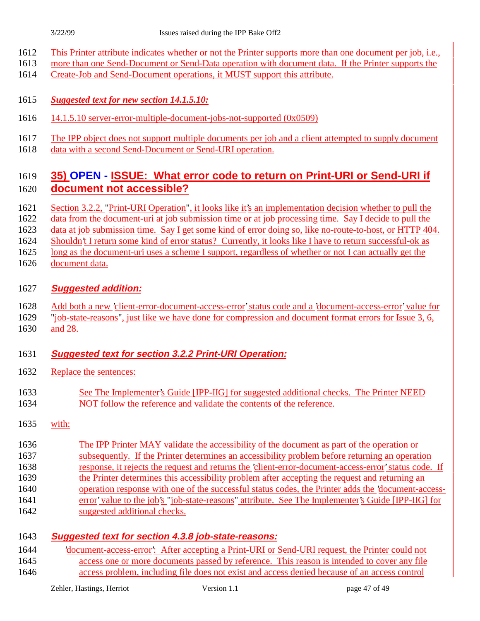- This Printer attribute indicates whether or not the Printer supports more than one document per job, i.e.,
- more than one Send-Document or Send-Data operation with document data. If the Printer supports the
- Create-Job and Send-Document operations, it MUST support this attribute.

## *Suggested text for new section 14.1.5.10:*

- 14.1.5.10 server-error-multiple-document-jobs-not-supported (0x0509)
- The IPP object does not support multiple documents per job and a client attempted to supply document data with a second Send-Document or Send-URI operation.

## **35) OPEN - ISSUE: What error code to return on Print-URI or Send-URI if document not accessible?**

- Section 3.2.2, "Print-URI Operation", it looks like it's an implementation decision whether to pull the
- data from the document-uri at job submission time or at job processing time. Say I decide to pull the
- data at job submission time. Say I get some kind of error doing so, like no-route-to-host, or HTTP 404.
- Shouldn't I return some kind of error status? Currently, it looks like I have to return successful-ok as
- 1625 long as the document-uri uses a scheme I support, regardless of whether or not I can actually get the document data.

## **Suggested addition:**

- Add both a new 'client-error-document-access-error' status code and a 'document-access-error' value for
- "job-state-reasons", just like we have done for compression and document format errors for Issue 3, 6, and 28.

## **Suggested text for section 3.2.2 Print-URI Operation:**

- Replace the sentences:
- See The Implementer's Guide [IPP-IIG] for suggested additional checks. The Printer NEED NOT follow the reference and validate the contents of the reference.
- with:
- The IPP Printer MAY validate the accessibility of the document as part of the operation or subsequently. If the Printer determines an accessibility problem before returning an operation response, it rejects the request and returns the 'client-error-document-access-error' status code. If 1639 the Printer determines this accessibility problem after accepting the request and returning an operation response with one of the successful status codes, the Printer adds the 'document-access- error' value to the job's "job-state-reasons" attribute. See The Implementer's Guide [IPP-IIG] for suggested additional checks.

## **Suggested text for section 4.3.8 job-state-reasons:**

 'document-access-error': After accepting a Print-URI or Send-URI request, the Printer could not access one or more documents passed by reference. This reason is intended to cover any file access problem, including file does not exist and access denied because of an access control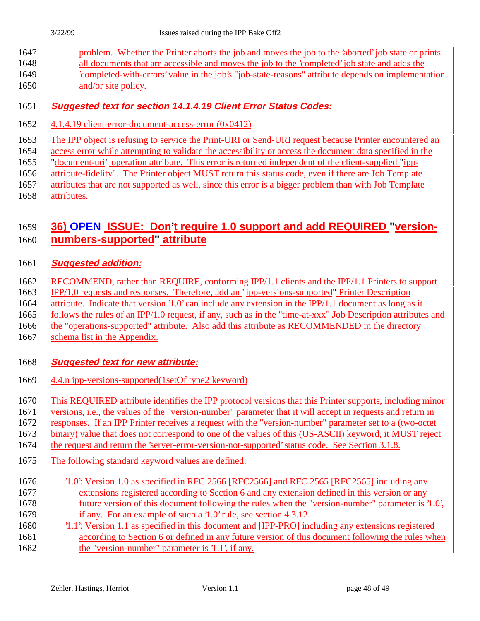- problem. Whether the Printer aborts the job and moves the job to the 'aborted' job state or prints all documents that are accessible and moves the job to the 'completed' job state and adds the 'completed-with-errors' value in the job's "job-state-reasons" attribute depends on implementation
- 1650 and/or site policy.

## **Suggested text for section 14.1.4.19 Client Error Status Codes:**

- 4.1.4.19 client-error-document-access-error (0x0412)
- The IPP object is refusing to service the Print-URI or Send-URI request because Printer encountered an
- access error while attempting to validate the accessibility or access the document data specified in the
- "document-uri" operation attribute. This error is returned independent of the client-supplied "ipp-
- attribute-fidelity". The Printer object MUST return this status code, even if there are Job Template
- attributes that are not supported as well, since this error is a bigger problem than with Job Template attributes.

## **36) OPEN ISSUE: Don't require 1.0 support and add REQUIRED "version-numbers-supported" attribute**

## **Suggested addition:**

- RECOMMEND, rather than REQUIRE, conforming IPP/1.1 clients and the IPP/1.1 Printers to support
- IPP/1.0 requests and responses. Therefore, add an "ipp-versions-supported" Printer Description
- attribute. Indicate that version '1.0' can include any extension in the IPP/1.1 document as long as it
- follows the rules of an IPP/1.0 request, if any, such as in the "time-at-xxx" Job Description attributes and
- the "operations-supported" attribute. Also add this attribute as RECOMMENDED in the directory
- schema list in the Appendix.

## **Suggested text for new attribute:**

- 4.4.n ipp-versions-supported(1setOf type2 keyword)
- This REQUIRED attribute identifies the IPP protocol versions that this Printer supports, including minor
- versions, i.e., the values of the "version-number" parameter that it will accept in requests and return in
- responses. If an IPP Printer receives a request with the "version-number" parameter set to a (two-octet
- binary) value that does not correspond to one of the values of this (US-ASCII) keyword, it MUST reject
- the request and return the 'server-error-version-not-supported' status code. See Section 3.1.8.
- The following standard keyword values are defined:
- '1.0': Version 1.0 as specified in RFC 2566 [RFC2566] and RFC 2565 [RFC2565] including any extensions registered according to Section 6 and any extension defined in this version or any future version of this document following the rules when the "version-number" parameter is '1.0', if any. For an example of such a '1.0' rule, see section 4.3.12.
- '1.1': Version 1.1 as specified in this document and [IPP-PRO] including any extensions registered according to Section 6 or defined in any future version of this document following the rules when
- 1682 the "version-number" parameter is '1.1', if any.